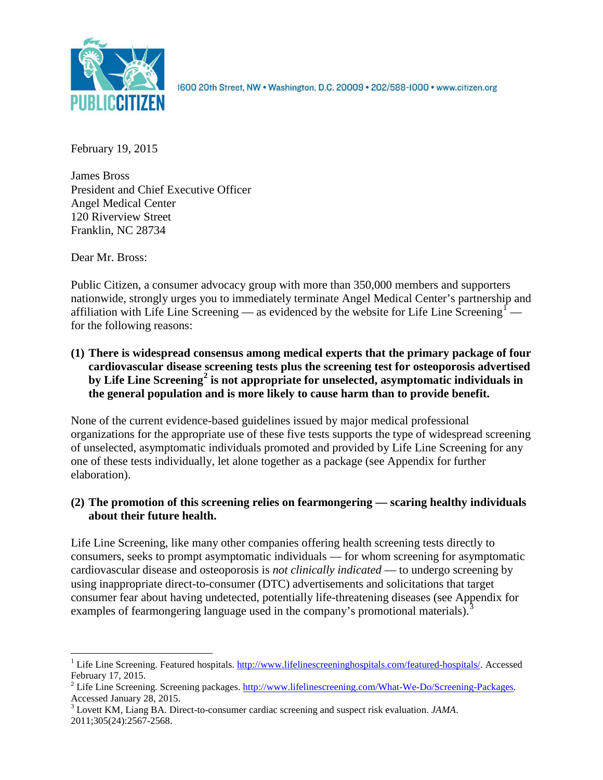

1600 20th Street, NW . Washington, D.C. 20009 . 202/588-1000 . www.citizen.org

February 19, 2015

James Bross President and Chief Executive Officer Angel Medical Center 120 Riverview Street Franklin, NC 28734

Dear Mr. Bross:

Public Citizen, a consumer advocacy group with more than 350,000 members and supporters nationwide, strongly urges you to immediately terminate Angel Medical Center's partnership and affiliation with Life Line Screening — as evidenced by the website for Life Line Screening<sup>[1](#page-0-0)</sup> – for the following reasons:

**(1) There is widespread consensus among medical experts that the primary package of four cardiovascular disease screening tests plus the screening test for osteoporosis advertised by Life Line Screening[2](#page-0-1) is not appropriate for unselected, asymptomatic individuals in the general population and is more likely to cause harm than to provide benefit.**

None of the current evidence-based guidelines issued by major medical professional organizations for the appropriate use of these five tests supports the type of widespread screening of unselected, asymptomatic individuals promoted and provided by Life Line Screening for any one of these tests individually, let alone together as a package (see Appendix for further elaboration).

# **(2) The promotion of this screening relies on fearmongering — scaring healthy individuals about their future health.**

Life Line Screening, like many other companies offering health screening tests directly to consumers, seeks to prompt asymptomatic individuals — for whom screening for asymptomatic cardiovascular disease and osteoporosis is *not clinically indicated* — to undergo screening by using inappropriate direct-to-consumer (DTC) advertisements and solicitations that target consumer fear about having undetected, potentially life-threatening diseases (see Appendix for examples of fearmongering language used in the company's promotional materials).<sup>[3](#page-0-2)</sup>

<span id="page-0-0"></span><sup>&</sup>lt;sup>1</sup> Life Line Screening. Featured hospitals. [http://www.lifelinescreeninghospitals.com/featured-hospitals/.](http://www.lifelinescreeninghospitals.com/featured-hospitals/) Accessed

<span id="page-0-1"></span>February 17, 2015.<br><sup>2</sup> Life Line Screening. Screening packages. [http://www.lifelinescreening.com/What-We-Do/Screening-Packages.](http://www.lifelinescreening.com/What-We-Do/Screening-Packages)<br>Accessed January 28, 2015.

<span id="page-0-2"></span><sup>&</sup>lt;sup>3</sup> Lovett KM, Liang BA. Direct-to-consumer cardiac screening and suspect risk evaluation. *JAMA*. 2011;305(24):2567-2568.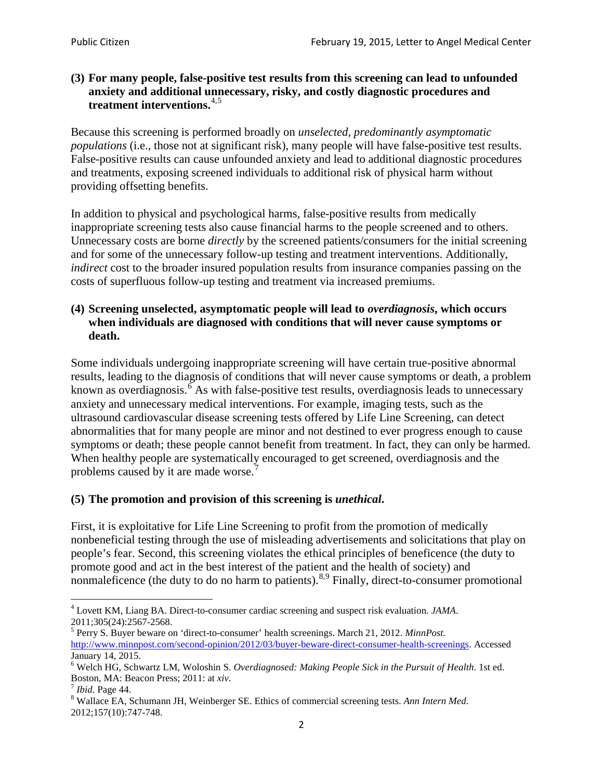## **(3) For many people, false-positive test results from this screening can lead to unfounded anxiety and additional unnecessary, risky, and costly diagnostic procedures and treatment interventions.**[4](#page-1-0),[5](#page-1-1)

Because this screening is performed broadly on *unselected, predominantly asymptomatic populations* (i.e., those not at significant risk), many people will have false**-**positive test results. False-positive results can cause unfounded anxiety and lead to additional diagnostic procedures and treatments, exposing screened individuals to additional risk of physical harm without providing offsetting benefits.

In addition to physical and psychological harms, false-positive results from medically inappropriate screening tests also cause financial harms to the people screened and to others. Unnecessary costs are borne *directly* by the screened patients/consumers for the initial screening and for some of the unnecessary follow-up testing and treatment interventions. Additionally, *indirect* cost to the broader insured population results from insurance companies passing on the costs of superfluous follow-up testing and treatment via increased premiums.

## **(4) Screening unselected, asymptomatic people will lead to** *overdiagnosis***, which occurs when individuals are diagnosed with conditions that will never cause symptoms or death.**

Some individuals undergoing inappropriate screening will have certain true-positive abnormal results, leading to the diagnosis of conditions that will never cause symptoms or death, a problem known as overdiagnosis.<sup>[6](#page-1-2)</sup> As with false-positive test results, overdiagnosis leads to unnecessary anxiety and unnecessary medical interventions. For example, imaging tests, such as the ultrasound cardiovascular disease screening tests offered by Life Line Screening, can detect abnormalities that for many people are minor and not destined to ever progress enough to cause symptoms or death; these people cannot benefit from treatment. In fact, they can only be harmed. When healthy people are systematically encouraged to get screened, overdiagnosis and the problems caused by it are made worse.<sup>[7](#page-1-3)</sup>

# **(5) The promotion and provision of this screening is** *unethical***.**

First, it is exploitative for Life Line Screening to profit from the promotion of medically nonbeneficial testing through the use of misleading advertisements and solicitations that play on people's fear. Second, this screening violates the ethical principles of beneficence (the duty to promote good and act in the best interest of the patient and the health of society) and nonmaleficence (the duty to do no harm to patients).<sup>[8](#page-1-4),[9](#page-1-5)</sup> Finally, direct-to-consumer promotional

<span id="page-1-4"></span>2012;157(10):747-748.

<span id="page-1-5"></span><span id="page-1-0"></span><sup>4</sup> Lovett KM, Liang BA. Direct-to-consumer cardiac screening and suspect risk evaluation. *JAMA*.

<span id="page-1-1"></span><sup>2011;305(24):2567-2568.</sup> <sup>5</sup> Perry S. Buyer beware on 'direct-to-consumer' health screenings. March 21, 2012. *MinnPost.*  [http://www.minnpost.com/second-opinion/2012/03/buyer-beware-direct-consumer-health-screenings.](http://www.minnpost.com/second-opinion/2012/03/buyer-beware-direct-consumer-health-screenings) Accessed January 14, 2015.

<span id="page-1-2"></span><sup>6</sup> Welch HG, Schwartz LM, Woloshin S. *Overdiagnosed: Making People Sick in the Pursuit of Health*. 1st ed. Boston, MA: Beacon Press; 2011: at *xiv*.<br><sup>7</sup> *Ibid*. Page 44.<br><sup>8</sup> Wallace EA, Schumann JH, Weinberger SE. Ethics of commercial screening tests. *Ann Intern Med*.

<span id="page-1-3"></span>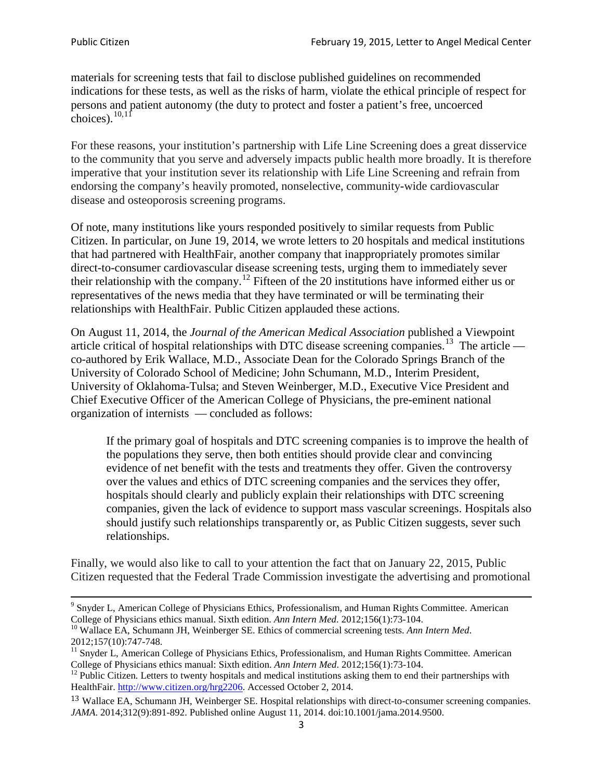materials for screening tests that fail to disclose published guidelines on recommended indications for these tests, as well as the risks of harm, violate the ethical principle of respect for persons and patient autonomy (the duty to protect and foster a patient's free, uncoerced choices). $\frac{10,11}{10,11}$  $\frac{10,11}{10,11}$  $\frac{10,11}{10,11}$  $\frac{10,11}{10,11}$ 

For these reasons, your institution's partnership with Life Line Screening does a great disservice to the community that you serve and adversely impacts public health more broadly. It is therefore imperative that your institution sever its relationship with Life Line Screening and refrain from endorsing the company's heavily promoted, nonselective, community**-**wide cardiovascular disease and osteoporosis screening programs.

Of note, many institutions like yours responded positively to similar requests from Public Citizen. In particular, on June 19, 2014, we wrote letters to 20 hospitals and medical institutions that had partnered with HealthFair, another company that inappropriately promotes similar direct-to-consumer cardiovascular disease screening tests, urging them to immediately sever their relationship with the company. [12](#page-2-2) Fifteen of the 20 institutions have informed either us or representatives of the news media that they have terminated or will be terminating their relationships with HealthFair. Public Citizen applauded these actions.

On August 11, 2014, the *Journal of the American Medical Association* published a Viewpoint article critical of hospital relationships with DTC disease screening companies.<sup>13</sup> The article co-authored by Erik Wallace, M.D., Associate Dean for the Colorado Springs Branch of the University of Colorado School of Medicine; John Schumann, M.D., Interim President, University of Oklahoma-Tulsa; and Steven Weinberger, M.D., Executive Vice President and Chief Executive Officer of the American College of Physicians, the pre**-**eminent national organization of internists — concluded as follows:

If the primary goal of hospitals and DTC screening companies is to improve the health of the populations they serve, then both entities should provide clear and convincing evidence of net benefit with the tests and treatments they offer. Given the controversy over the values and ethics of DTC screening companies and the services they offer, hospitals should clearly and publicly explain their relationships with DTC screening companies, given the lack of evidence to support mass vascular screenings. Hospitals also should justify such relationships transparently or, as Public Citizen suggests, sever such relationships.

Finally, we would also like to call to your attention the fact that on January 22, 2015, Public Citizen requested that the Federal Trade Commission investigate the advertising and promotional

<sup>&</sup>lt;sup>9</sup> Snyder L, American College of Physicians Ethics, Professionalism, and Human Rights Committee. American College of Physicians ethics manual. Sixth edition. Ann Intern Med. 2012;156(1):73-104.

<span id="page-2-0"></span><sup>&</sup>lt;sup>10</sup> Wallace EA, Schumann JH, Weinberger SE. Ethics of commercial screening tests. *Ann Intern Med*. 2012;157(10):747-748.

<span id="page-2-1"></span> $11$  Snyder L, American College of Physicians Ethics, Professionalism, and Human Rights Committee. American College of Physicians ethics manual: Sixth edition. *Ann Intern Med*. 2012;156(1):73-104.<br><sup>12</sup> Public Citizen. Letters to twenty hospitals and medical institutions asking them to end their partnerships with

<span id="page-2-2"></span>HealthFair. [http://www.citizen.org/hrg2206.](http://www.citizen.org/hrg2206) Accessed October 2, 2014.

<span id="page-2-3"></span><sup>13</sup> Wallace EA, Schumann JH, Weinberger SE. Hospital relationships with direct-to-consumer screening companies. *JAMA*. 2014;312(9):891-892. Published online August 11, 2014. doi:10.1001/jama.2014.9500.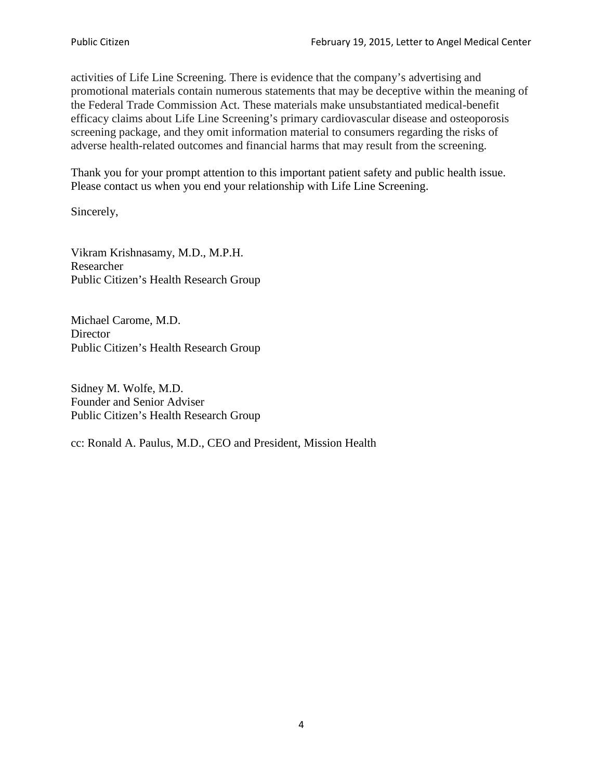activities of Life Line Screening. There is evidence that the company's advertising and promotional materials contain numerous statements that may be deceptive within the meaning of the Federal Trade Commission Act. These materials make unsubstantiated medical-benefit efficacy claims about Life Line Screening's primary cardiovascular disease and osteoporosis screening package, and they omit information material to consumers regarding the risks of adverse health-related outcomes and financial harms that may result from the screening.

Thank you for your prompt attention to this important patient safety and public health issue. Please contact us when you end your relationship with Life Line Screening.

Sincerely,

Vikram Krishnasamy, M.D., M.P.H. Researcher Public Citizen's Health Research Group

Michael Carome, M.D. **Director** Public Citizen's Health Research Group

Sidney M. Wolfe, M.D. Founder and Senior Adviser Public Citizen's Health Research Group

cc: Ronald A. Paulus, M.D., CEO and President, Mission Health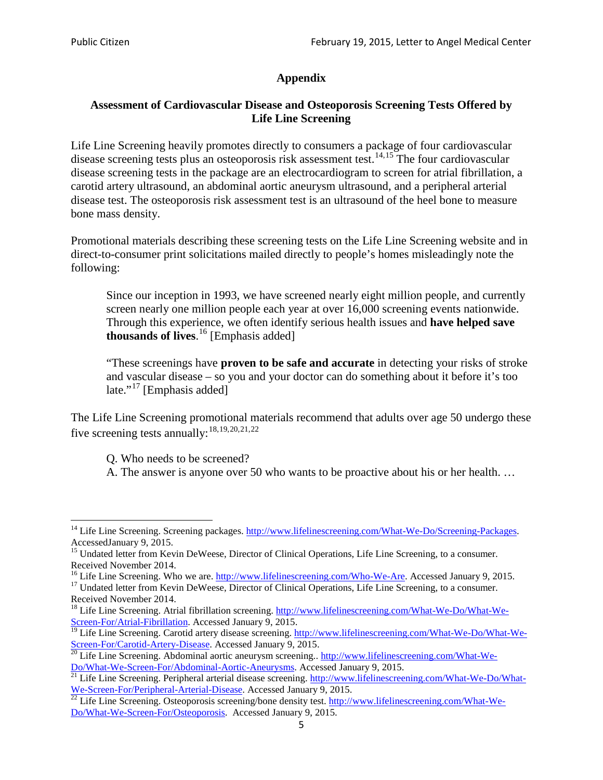# **Appendix**

## **Assessment of Cardiovascular Disease and Osteoporosis Screening Tests Offered by Life Line Screening**

Life Line Screening heavily promotes directly to consumers a package of four cardiovascular disease screening tests plus an osteoporosis risk assessment test.<sup>[14](#page-4-0),[15](#page-4-1)</sup> The four cardiovascular disease screening tests in the package are an electrocardiogram to screen for atrial fibrillation, a carotid artery ultrasound, an abdominal aortic aneurysm ultrasound, and a peripheral arterial disease test. The osteoporosis risk assessment test is an ultrasound of the heel bone to measure bone mass density.

Promotional materials describing these screening tests on the Life Line Screening website and in direct-to-consumer print solicitations mailed directly to people's homes misleadingly note the following:

Since our inception in 1993, we have screened nearly eight million people, and currently screen nearly one million people each year at over 16,000 screening events nationwide. Through this experience, we often identify serious health issues and **have helped save thousands of lives**. [16](#page-4-2) [Emphasis added]

"These screenings have **proven to be safe and accurate** in detecting your risks of stroke and vascular disease – so you and your doctor can do something about it before it's too late."<sup>[17](#page-4-3)</sup> [Emphasis added]

The Life Line Screening promotional materials recommend that adults over age 50 undergo these five screening tests annually:<sup>[18](#page-4-4),[19,](#page-4-5)[20,](#page-4-6)[21](#page-4-7),[22](#page-4-8)</sup>

Q. Who needs to be screened?

A. The answer is anyone over 50 who wants to be proactive about his or her health. …

<span id="page-4-0"></span><sup>&</sup>lt;sup>14</sup> Life Line Screening. Screening packages. [http://www.lifelinescreening.com/What-We-Do/Screening-Packages.](http://www.lifelinescreening.com/What-We-Do/Screening-Packages) AccessedJanuary 9, 2015.

<span id="page-4-1"></span><sup>&</sup>lt;sup>15</sup> Undated letter from Kevin DeWeese, Director of Clinical Operations, Life Line Screening, to a consumer.

Received November 2014.<br><sup>16</sup> Life Line Screening. Who we are. http://www.lifelinescreening.com/Who-We-Are. Accessed January 9, 2015.

<span id="page-4-3"></span><span id="page-4-2"></span><sup>&</sup>lt;sup>17</sup> Undated letter from Kevin DeWeese, Director of Clinical Operations, Life Line Screening, to a consumer. Received November 2014.

<span id="page-4-4"></span><sup>&</sup>lt;sup>18</sup> Life Line Screening. Atrial fibrillation screening. [http://www.lifelinescreening.com/What-We-Do/What-We-](http://www.lifelinescreening.com/What-We-Do/What-We-Screen-For/Atrial-Fibrillation)[Screen-For/Atrial-Fibrillation.](http://www.lifelinescreening.com/What-We-Do/What-We-Screen-For/Atrial-Fibrillation) Accessed January 9, 2015.

<sup>&</sup>lt;sup>19</sup> Life Line Screening. Carotid artery disease screening. [http://www.lifelinescreening.com/What-We-Do/What-We-](http://www.lifelinescreening.com/What-We-Do/What-We-Screen-For/Carotid-Artery-Disease)

<span id="page-4-6"></span><span id="page-4-5"></span>[Screen-For/Carotid-Artery-Disease.](http://www.lifelinescreening.com/What-We-Do/What-We-Screen-For/Carotid-Artery-Disease) Accessed January 9, 2015.<br><sup>20</sup> Life Line Screening. Abdominal aortic aneurysm screening.. http://www.lifelinescreening.com/What-We-Do/What-We-Do/What-We-Screen-For/Abdominal-Aortic-Aneury

<span id="page-4-7"></span><sup>&</sup>lt;sup>21</sup> Life Line Screening. Peripheral arterial disease screening. [http://www.lifelinescreening.com/What-We-Do/What-](http://www.lifelinescreening.com/What-We-Do/What-We-Screen-For/Peripheral-Arterial-Disease)

<span id="page-4-8"></span>[We-Screen-For/Peripheral-Arterial-Disease.](http://www.lifelinescreening.com/What-We-Do/What-We-Screen-For/Peripheral-Arterial-Disease) Accessed January 9, 2015.<br><sup>22</sup> Life Line Screening. Osteoporosis screening/bone density test. [http://www.lifelinescreening.com/What-We-](http://www.lifelinescreening.com/What-We-Do/What-We-Screen-For/Osteoporosis)[Do/What-We-Screen-For/Osteoporosis.](http://www.lifelinescreening.com/What-We-Do/What-We-Screen-For/Osteoporosis) Accessed January 9, 2015.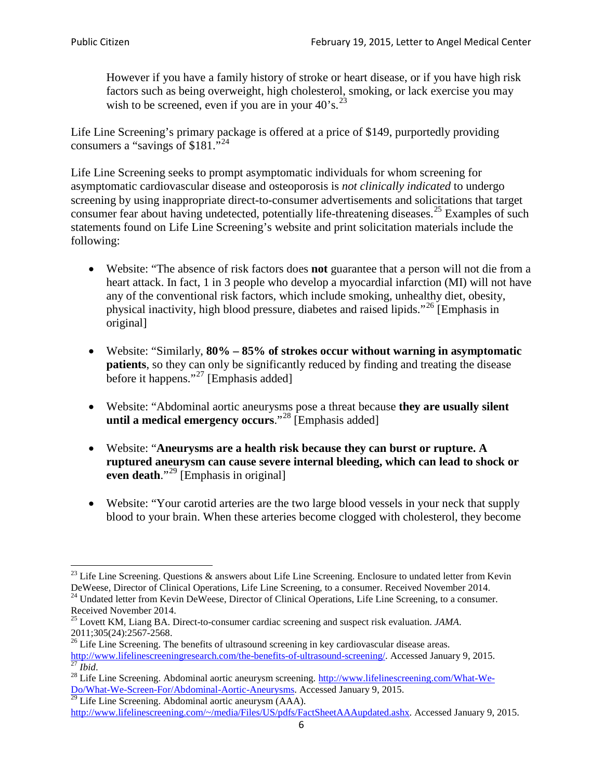However if you have a family history of stroke or heart disease, or if you have high risk factors such as being overweight, high cholesterol, smoking, or lack exercise you may wish to be screened, even if you are in your  $40^\circ$ s.<sup>[23](#page-5-0)</sup>

Life Line Screening's primary package is offered at a price of \$149, purportedly providing consumers a "savings of \$181."<sup>[24](#page-5-1)</sup>

Life Line Screening seeks to prompt asymptomatic individuals for whom screening for asymptomatic cardiovascular disease and osteoporosis is *not clinically indicated* to undergo screening by using inappropriate direct-to-consumer advertisements and solicitations that target consumer fear about having undetected, potentially life-threatening diseases.<sup>[25](#page-5-2)</sup> Examples of such statements found on Life Line Screening's website and print solicitation materials include the following:

- Website: "The absence of risk factors does **not** guarantee that a person will not die from a heart attack. In fact, 1 in 3 people who develop a myocardial infarction (MI) will not have any of the conventional risk factors, which include smoking, unhealthy diet, obesity, physical inactivity, high blood pressure, diabetes and raised lipids."[26](#page-5-3) [Emphasis in original]
- Website: "Similarly, **80% – 85% of strokes occur without warning in asymptomatic patients**, so they can only be significantly reduced by finding and treating the disease before it happens."<sup>[27](#page-5-4)</sup> [Emphasis added]
- Website: "Abdominal aortic aneurysms pose a threat because **they are usually silent until a medical emergency occurs**."[28](#page-5-5) [Emphasis added]
- Website: "**Aneurysms are a health risk because they can burst or rupture. A ruptured aneurysm can cause severe internal bleeding, which can lead to shock or even death.**"<sup>[29](#page-5-6)</sup> [Emphasis in original]
- Website: "Your carotid arteries are the two large blood vessels in your neck that supply blood to your brain. When these arteries become clogged with cholesterol, they become

<span id="page-5-0"></span><sup>&</sup>lt;sup>23</sup> Life Line Screening. Questions  $\&$  answers about Life Line Screening. Enclosure to undated letter from Kevin DeWeese, Director of Clinical Operations, Life Line Screening, to a consumer. Received November 2014.

<span id="page-5-1"></span><sup>&</sup>lt;sup>24</sup> Undated letter from Kevin DeWeese, Director of Clinical Operations, Life Line Screening, to a consumer. Received November 2014.

<span id="page-5-2"></span><sup>25</sup> Lovett KM, Liang BA. Direct-to-consumer cardiac screening and suspect risk evaluation. *JAMA*.  $2011;305(24):2567-2568$ .<br><sup>26</sup> Life Line Screening. The benefits of ultrasound screening in key cardiovascular disease areas.

<span id="page-5-3"></span>[http://www.lifelinescreeningresearch.com/the-benefits-of-ultrasound-screening/.](http://www.lifelinescreeningresearch.com/the-benefits-of-ultrasound-screening/) Accessed January 9, 2015.<br><sup>28</sup> Life Line Screening. Abdominal aortic aneurysm screening. http://www.lifelinescreening.com/What-We-<br><sup>28</sup> Life L

<span id="page-5-5"></span><span id="page-5-4"></span>[Do/What-We-Screen-For/Abdominal-Aortic-Aneurysms.](http://www.lifelinescreening.com/What-We-Do/What-We-Screen-For/Abdominal-Aortic-Aneurysms) Accessed January 9, 2015. <sup>29</sup> Life Line Screening. Abdominal aortic aneurysm (AAA).

<span id="page-5-6"></span>[http://www.lifelinescreening.com/~/media/Files/US/pdfs/FactSheetAAAupdated.ashx.](http://www.lifelinescreening.com/~/media/Files/US/pdfs/FactSheetAAAupdated.ashx) Accessed January 9, 2015.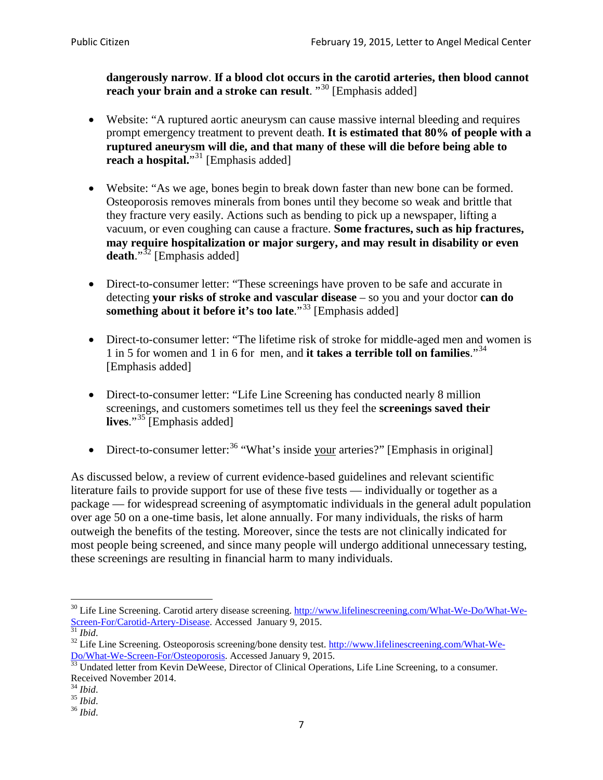**dangerously narrow**. **If a blood clot occurs in the carotid arteries, then blood cannot reach your brain and a stroke can result**. "<sup>[30](#page-6-0)</sup> [Emphasis added]

- Website: "A ruptured aortic aneurysm can cause massive internal bleeding and requires prompt emergency treatment to prevent death. **It is estimated that 80% of people with a ruptured aneurysm will die, and that many of these will die before being able to reach a hospital.**"<sup>[31](#page-6-1)</sup> [Emphasis added]
- Website: "As we age, bones begin to break down faster than new bone can be formed. Osteoporosis removes minerals from bones until they become so weak and brittle that they fracture very easily. Actions such as bending to pick up a newspaper, lifting a vacuum, or even coughing can cause a fracture. **Some fractures, such as hip fractures, may require hospitalization or major surgery, and may result in disability or even**  death."<sup>[32](#page-6-2)</sup> [Emphasis added]
- Direct-to-consumer letter: "These screenings have proven to be safe and accurate in detecting **your risks of stroke and vascular disease** – so you and your doctor **can do something about it before it's too late**."<sup>[33](#page-6-3)</sup> [Emphasis added]
- Direct-to-consumer letter: "The lifetime risk of stroke for middle-aged men and women is 1 in 5 for women and 1 in 6 for men, and **it takes a terrible toll on families**."[34](#page-6-4) [Emphasis added]
- Direct-to-consumer letter: "Life Line Screening has conducted nearly 8 million screenings, and customers sometimes tell us they feel the **screenings saved their lives**."[35](#page-6-5) [Emphasis added]
- Direct-to-consumer letter:  $36$  "What's inside your arteries?" [Emphasis in original]

As discussed below, a review of current evidence-based guidelines and relevant scientific literature fails to provide support for use of these five tests — individually or together as a package — for widespread screening of asymptomatic individuals in the general adult population over age 50 on a one-time basis, let alone annually. For many individuals, the risks of harm outweigh the benefits of the testing. Moreover, since the tests are not clinically indicated for most people being screened, and since many people will undergo additional unnecessary testing, these screenings are resulting in financial harm to many individuals.

<span id="page-6-0"></span><sup>&</sup>lt;sup>30</sup> Life Line Screening. Carotid artery disease screening. [http://www.lifelinescreening.com/What-We-Do/What-We-](http://www.lifelinescreening.com/What-We-Do/What-We-Screen-For/Carotid-Artery-Disease)[Screen-For/Carotid-Artery-Disease.](http://www.lifelinescreening.com/What-We-Do/What-We-Screen-For/Carotid-Artery-Disease) Accessed January 9, 2015.<br><sup>31</sup> *Ibid.* 32 Life Line Screening. Osteoporosis screening/bone density test. [http://www.lifelinescreening.com/What-We-](http://www.lifelinescreening.com/What-We-Do/What-We-Screen-For/Osteoporosis)

<span id="page-6-2"></span><span id="page-6-1"></span>[Do/What-We-Screen-For/Osteoporosis.](http://www.lifelinescreening.com/What-We-Do/What-We-Screen-For/Osteoporosis) Accessed January 9, 2015. <sup>33</sup> Undated letter from Kevin DeWeese, Director of Clinical Operations, Life Line Screening, to a consumer.

<span id="page-6-3"></span>Received November 2014.<br><sup>34</sup> Ibid.

<span id="page-6-4"></span>

<span id="page-6-5"></span><sup>34</sup> *Ibid*. 35 *Ibid*. 36 *Ibid*.

<span id="page-6-6"></span>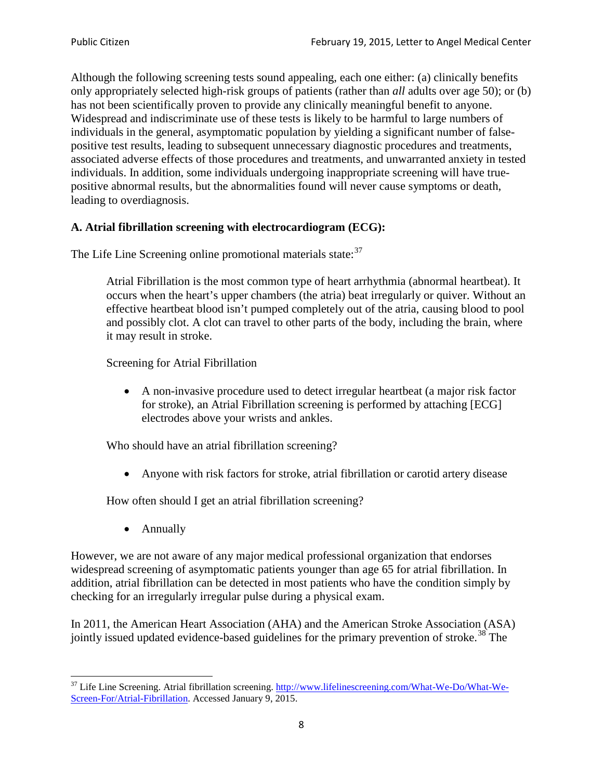Although the following screening tests sound appealing, each one either: (a) clinically benefits only appropriately selected high-risk groups of patients (rather than *all* adults over age 50); or (b) has not been scientifically proven to provide any clinically meaningful benefit to anyone. Widespread and indiscriminate use of these tests is likely to be harmful to large numbers of individuals in the general, asymptomatic population by yielding a significant number of falsepositive test results, leading to subsequent unnecessary diagnostic procedures and treatments, associated adverse effects of those procedures and treatments, and unwarranted anxiety in tested individuals. In addition, some individuals undergoing inappropriate screening will have truepositive abnormal results, but the abnormalities found will never cause symptoms or death, leading to overdiagnosis.

## **A. Atrial fibrillation screening with electrocardiogram (ECG):**

The Life Line Screening online promotional materials state:<sup>[37](#page-7-0)</sup>

Atrial Fibrillation is the most common type of heart arrhythmia (abnormal heartbeat). It occurs when the heart's upper chambers (the atria) beat irregularly or quiver. Without an effective heartbeat blood isn't pumped completely out of the atria, causing blood to pool and possibly clot. A clot can travel to other parts of the body, including the brain, where it may result in stroke.

Screening for Atrial Fibrillation

• A non-invasive procedure used to detect irregular heartbeat (a major risk factor for stroke), an Atrial Fibrillation screening is performed by attaching [ECG] electrodes above your wrists and ankles.

Who should have an atrial fibrillation screening?

• Anyone with risk factors for stroke, atrial fibrillation or carotid artery disease

How often should I get an atrial fibrillation screening?

• Annually

<span id="page-7-1"></span>However, we are not aware of any major medical professional organization that endorses widespread screening of asymptomatic patients younger than age 65 for atrial fibrillation. In addition, atrial fibrillation can be detected in most patients who have the condition simply by checking for an irregularly irregular pulse during a physical exam.

In 2011, the American Heart Association (AHA) and the American Stroke Association (ASA) jointly issued updated evidence-based guidelines for the primary prevention of stroke.<sup>[38](#page-7-1)</sup> The

<span id="page-7-0"></span><sup>&</sup>lt;sup>37</sup> Life Line Screening. Atrial fibrillation screening. [http://www.lifelinescreening.com/What-We-Do/What-We-](http://www.lifelinescreening.com/What-We-Do/What-We-Screen-For/Atrial-Fibrillation)[Screen-For/Atrial-Fibrillation.](http://www.lifelinescreening.com/What-We-Do/What-We-Screen-For/Atrial-Fibrillation) Accessed January 9, 2015.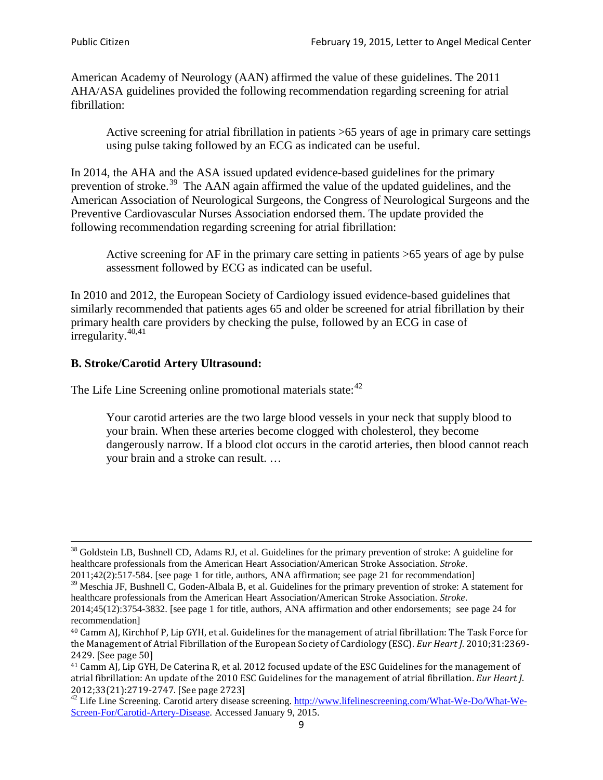American Academy of Neurology (AAN) affirmed the value of these guidelines. The 2011 AHA/ASA guidelines provided the following recommendation regarding screening for atrial fibrillation:

Active screening for atrial fibrillation in patients >65 years of age in primary care settings using pulse taking followed by an ECG as indicated can be useful.

In 2014, the AHA and the ASA issued updated evidence-based guidelines for the primary prevention of stroke.<sup>[39](#page-8-0)</sup> The AAN again affirmed the value of the updated guidelines, and the American Association of Neurological Surgeons, the Congress of Neurological Surgeons and the Preventive Cardiovascular Nurses Association endorsed them. The update provided the following recommendation regarding screening for atrial fibrillation:

Active screening for AF in the primary care setting in patients >65 years of age by pulse assessment followed by ECG as indicated can be useful.

In 2010 and 2012, the European Society of Cardiology issued evidence-based guidelines that similarly recommended that patients ages 65 and older be screened for atrial fibrillation by their primary health care providers by checking the pulse, followed by an ECG in case of irregularity. $40,41$  $40,41$ 

# **B. Stroke/Carotid Artery Ultrasound:**

The Life Line Screening online promotional materials state:<sup>[42](#page-8-3)</sup>

Your carotid arteries are the two large blood vessels in your neck that supply blood to your brain. When these arteries become clogged with cholesterol, they become dangerously narrow. If a blood clot occurs in the carotid arteries, then blood cannot reach your brain and a stroke can result. …

<sup>&</sup>lt;sup>38</sup> Goldstein LB, Bushnell CD, Adams RJ, et al. Guidelines for the primary prevention of stroke: A guideline for healthcare professionals from the American Heart Association/American Stroke Association. *Stroke*.

<sup>2011;42(2):517-584.</sup> [see page 1 for title, authors, ANA affirmation; see page 21 for recommendation]

<span id="page-8-0"></span> $\frac{2011,42(2)(317,601)}{39}$  Meschia JF, Bushnell C, Goden-Albala B, et al. Guidelines for the primary prevention of stroke: A statement for healthcare professionals from the American Heart Association/American Stroke Association. *Stroke*.

<sup>2014;45(12):3754-3832.</sup> [see page 1 for title, authors, ANA affirmation and other endorsements; see page 24 for recommendation]

<span id="page-8-1"></span><sup>40</sup> Camm AJ, Kirchhof P, Lip GYH, et al. Guidelines for the management of atrial fibrillation: The Task Force for the Management of Atrial Fibrillation of the European Society of Cardiology (ESC). *Eur Heart J*. 2010;31:2369- 2429. [See page 50]

<span id="page-8-2"></span><sup>41</sup> Camm AJ, Lip GYH, De Caterina R, et al. 2012 focused update of the ESC Guidelines for the management of atrial fibrillation: An update of the 2010 ESC Guidelines for the management of atrial fibrillation. *Eur Heart J*.

<span id="page-8-3"></span><sup>&</sup>lt;sup>2012</sup>;23(21):2719-2747. [See page 273] 42 Life Line Screening. [http://www.lifelinescreening.com/What-We-Do/What-We-](http://www.lifelinescreening.com/What-We-Do/What-We-Screen-For/Carotid-Artery-Disease)[Screen-For/Carotid-Artery-Disease.](http://www.lifelinescreening.com/What-We-Do/What-We-Screen-For/Carotid-Artery-Disease) Accessed January 9, 2015.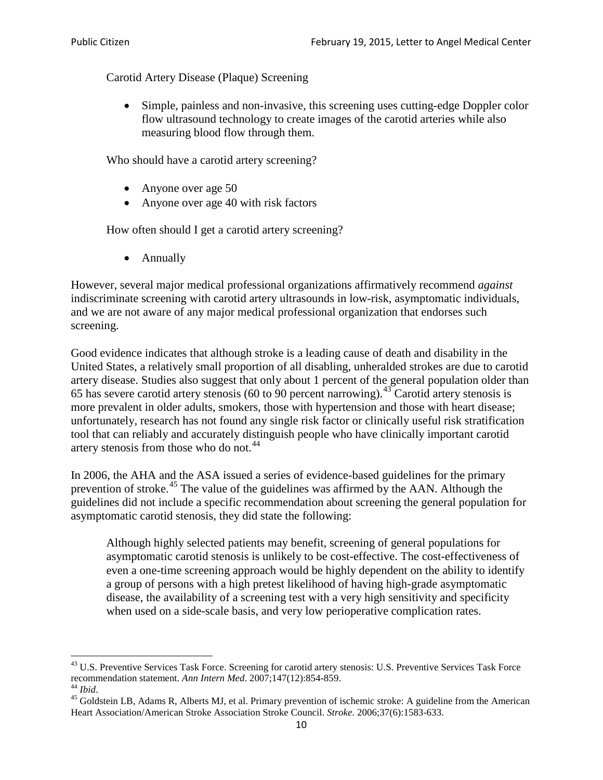Carotid Artery Disease (Plaque) Screening

• Simple, painless and non-invasive, this screening uses cutting-edge Doppler color flow ultrasound technology to create images of the carotid arteries while also measuring blood flow through them.

Who should have a carotid artery screening?

- Anyone over age 50
- Anyone over age 40 with risk factors

How often should I get a carotid artery screening?

• Annually

However, several major medical professional organizations affirmatively recommend *against* indiscriminate screening with carotid artery ultrasounds in low-risk, asymptomatic individuals, and we are not aware of any major medical professional organization that endorses such screening.

Good evidence indicates that although stroke is a leading cause of death and disability in the United States, a relatively small proportion of all disabling, unheralded strokes are due to carotid artery disease. Studies also suggest that only about 1 percent of the general population older than 65 has severe carotid artery stenosis (60 to 90 percent narrowing).<sup>[43](#page-9-0)</sup> Carotid artery stenosis is more prevalent in older adults, smokers, those with hypertension and those with heart disease; unfortunately, research has not found any single risk factor or clinically useful risk stratification tool that can reliably and accurately distinguish people who have clinically important carotid artery stenosis from those who do not.<sup>[44](#page-9-1)</sup>

In 2006, the AHA and the ASA issued a series of evidence-based guidelines for the primary prevention of stroke.<sup>[45](#page-9-2)</sup> The value of the guidelines was affirmed by the AAN. Although the guidelines did not include a specific recommendation about screening the general population for asymptomatic carotid stenosis, they did state the following:

Although highly selected patients may benefit, screening of general populations for asymptomatic carotid stenosis is unlikely to be cost-effective. The cost-effectiveness of even a one-time screening approach would be highly dependent on the ability to identify a group of persons with a high pretest likelihood of having high-grade asymptomatic disease, the availability of a screening test with a very high sensitivity and specificity when used on a side-scale basis, and very low perioperative complication rates.

<span id="page-9-0"></span> $^{43}$  U.S. Preventive Services Task Force. Screening for carotid artery stenosis: U.S. Preventive Services Task Force recommendation statement. Ann Intern Med. 2007;147(12):854-859.

<span id="page-9-2"></span>

<span id="page-9-1"></span><sup>&</sup>lt;sup>44</sup> *Ibid*. <sup>45</sup> Goldstein LB, Adams R, Alberts MJ, et al. Primary prevention of ischemic stroke: A guideline from the American <sup>45</sup> Goldstein LB, Adams R, Alberts MJ, et al. Primary prevention of ischemic stroke: A guide Heart Association/American Stroke Association Stroke Council. *Stroke*. 2006;37(6):1583-633.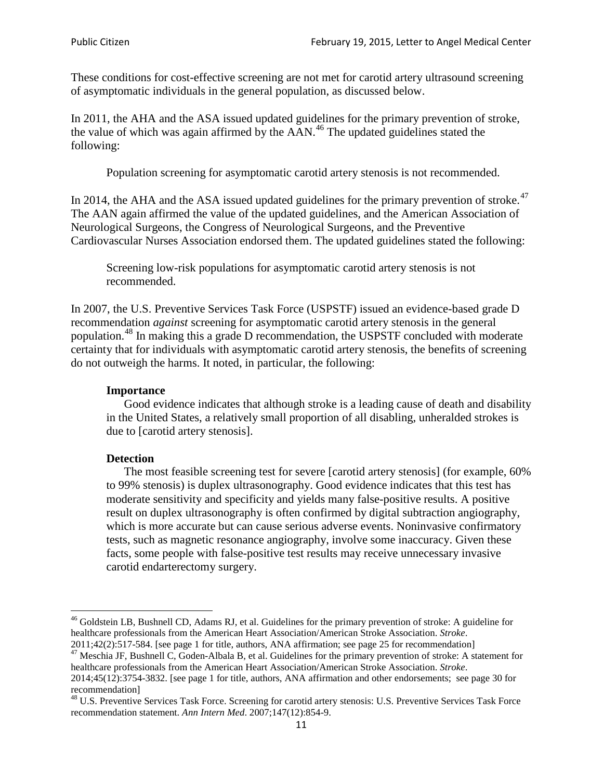These conditions for cost-effective screening are not met for carotid artery ultrasound screening of asymptomatic individuals in the general population, as discussed below.

In 2011, the AHA and the ASA issued updated guidelines for the primary prevention of stroke, the value of which was again affirmed by the  $AAN<sup>46</sup>$  $AAN<sup>46</sup>$  $AAN<sup>46</sup>$ . The updated guidelines stated the following:

Population screening for asymptomatic carotid artery stenosis is not recommended.

In 2014, the AHA and the ASA issued updated guidelines for the primary prevention of stroke.<sup>47</sup> The AAN again affirmed the value of the updated guidelines, and the American Association of Neurological Surgeons, the Congress of Neurological Surgeons, and the Preventive Cardiovascular Nurses Association endorsed them. The updated guidelines stated the following:

Screening low-risk populations for asymptomatic carotid artery stenosis is not recommended.

In 2007, the U.S. Preventive Services Task Force (USPSTF) issued an evidence-based grade D recommendation *against* screening for asymptomatic carotid artery stenosis in the general population.[48](#page-10-2) In making this a grade D recommendation, the USPSTF concluded with moderate certainty that for individuals with asymptomatic carotid artery stenosis, the benefits of screening do not outweigh the harms. It noted, in particular, the following:

#### **Importance**

Good evidence indicates that although stroke is a leading cause of death and disability in the United States, a relatively small proportion of all disabling, unheralded strokes is due to [carotid artery stenosis].

#### **Detection**

The most feasible screening test for severe [carotid artery stenosis] (for example, 60% to 99% stenosis) is duplex ultrasonography. Good evidence indicates that this test has moderate sensitivity and specificity and yields many false-positive results. A positive result on duplex ultrasonography is often confirmed by digital subtraction angiography, which is more accurate but can cause serious adverse events. Noninvasive confirmatory tests, such as magnetic resonance angiography, involve some inaccuracy. Given these facts, some people with false-positive test results may receive unnecessary invasive carotid endarterectomy surgery.

<span id="page-10-0"></span><sup>&</sup>lt;sup>46</sup> Goldstein LB, Bushnell CD, Adams RJ, et al. Guidelines for the primary prevention of stroke: A guideline for healthcare professionals from the American Heart Association/American Stroke Association. *Stroke*.<br>2011;42(2):517-584. [see page 1 for title, authors, ANA affirmation; see page 25 for recommendation]

<span id="page-10-1"></span><sup>&</sup>lt;sup>47</sup> Meschia JF, Bushnell C, Goden-Albala B, et al. Guidelines for the primary prevention of stroke: A statement for healthcare professionals from the American Heart Association/American Stroke Association. *Stroke*. 2014;45(12):3754-3832. [see page 1 for title, authors, ANA affirmation and other endorsements; see page 30 for

recommendation] <sup>48</sup> U.S. Preventive Services Task Force. Screening for carotid artery stenosis: U.S. Preventive Services Task Force

<span id="page-10-2"></span>recommendation statement. *Ann Intern Med*. 2007;147(12):854-9.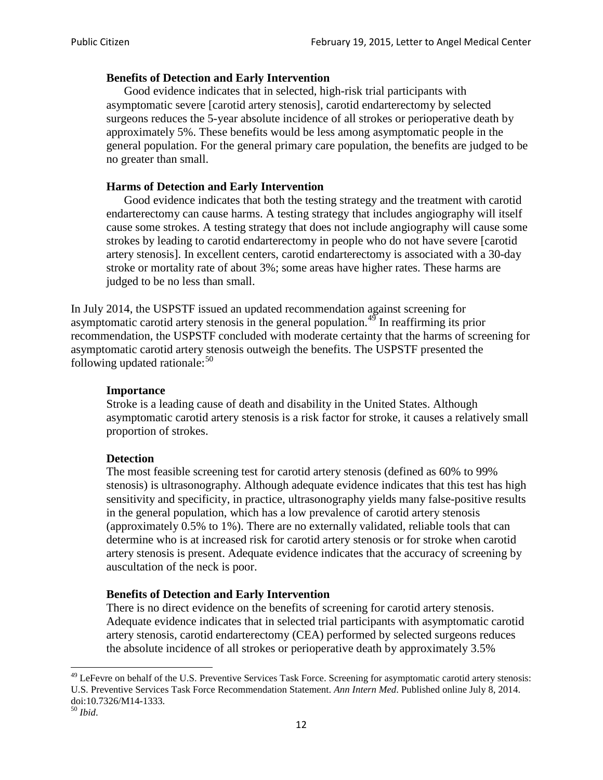### **Benefits of Detection and Early Intervention**

Good evidence indicates that in selected, high-risk trial participants with asymptomatic severe [carotid artery stenosis], carotid endarterectomy by selected surgeons reduces the 5-year absolute incidence of all strokes or perioperative death by approximately 5%. These benefits would be less among asymptomatic people in the general population. For the general primary care population, the benefits are judged to be no greater than small.

### **Harms of Detection and Early Intervention**

Good evidence indicates that both the testing strategy and the treatment with carotid endarterectomy can cause harms. A testing strategy that includes angiography will itself cause some strokes. A testing strategy that does not include angiography will cause some strokes by leading to carotid endarterectomy in people who do not have severe [carotid artery stenosis]. In excellent centers, carotid endarterectomy is associated with a 30-day stroke or mortality rate of about 3%; some areas have higher rates. These harms are judged to be no less than small.

In July 2014, the USPSTF issued an updated recommendation against screening for asymptomatic carotid artery stenosis in the general population.<sup>[49](#page-11-0)</sup> In reaffirming its prior recommendation, the USPSTF concluded with moderate certainty that the harms of screening for asymptomatic carotid artery stenosis outweigh the benefits. The USPSTF presented the following updated rationale: $50$ 

#### **Importance**

Stroke is a leading cause of death and disability in the United States. Although asymptomatic carotid artery stenosis is a risk factor for stroke, it causes a relatively small proportion of strokes.

#### **Detection**

The most feasible screening test for carotid artery stenosis (defined as 60% to 99% stenosis) is ultrasonography. Although adequate evidence indicates that this test has high sensitivity and specificity, in practice, ultrasonography yields many false-positive results in the general population, which has a low prevalence of carotid artery stenosis (approximately 0.5% to 1%). There are no externally validated, reliable tools that can determine who is at increased risk for carotid artery stenosis or for stroke when carotid artery stenosis is present. Adequate evidence indicates that the accuracy of screening by auscultation of the neck is poor.

#### **Benefits of Detection and Early Intervention**

There is no direct evidence on the benefits of screening for carotid artery stenosis. Adequate evidence indicates that in selected trial participants with asymptomatic carotid artery stenosis, carotid endarterectomy (CEA) performed by selected surgeons reduces the absolute incidence of all strokes or perioperative death by approximately 3.5%

<span id="page-11-0"></span><sup>&</sup>lt;sup>49</sup> LeFevre on behalf of the U.S. Preventive Services Task Force. Screening for asymptomatic carotid artery stenosis: U.S. Preventive Services Task Force Recommendation Statement. *Ann Intern Med*. Published online July 8, 2014. doi:10.7326/M14-1333. <sup>50</sup> *Ibid*.

<span id="page-11-1"></span>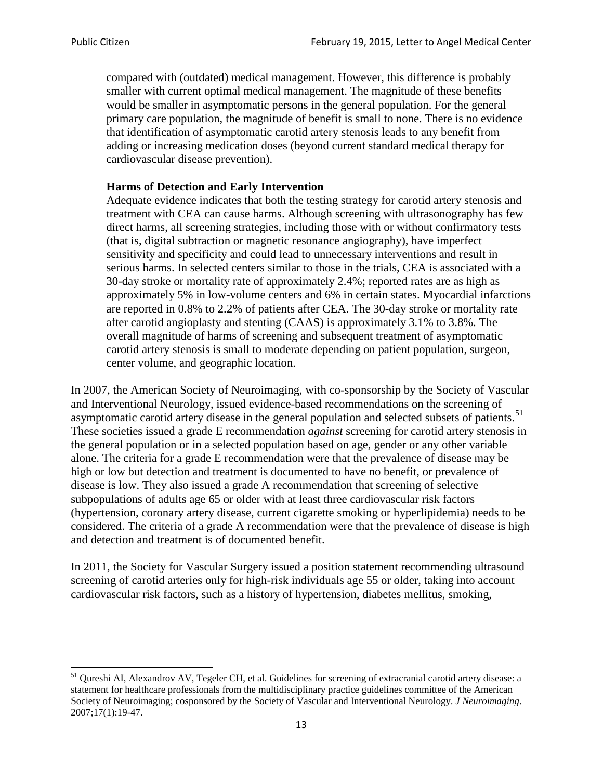compared with (outdated) medical management. However, this difference is probably smaller with current optimal medical management. The magnitude of these benefits would be smaller in asymptomatic persons in the general population. For the general primary care population, the magnitude of benefit is small to none. There is no evidence that identification of asymptomatic carotid artery stenosis leads to any benefit from adding or increasing medication doses (beyond current standard medical therapy for cardiovascular disease prevention).

### **Harms of Detection and Early Intervention**

Adequate evidence indicates that both the testing strategy for carotid artery stenosis and treatment with CEA can cause harms. Although screening with ultrasonography has few direct harms, all screening strategies, including those with or without confirmatory tests (that is, digital subtraction or magnetic resonance angiography), have imperfect sensitivity and specificity and could lead to unnecessary interventions and result in serious harms. In selected centers similar to those in the trials, CEA is associated with a 30-day stroke or mortality rate of approximately 2.4%; reported rates are as high as approximately 5% in low-volume centers and 6% in certain states. Myocardial infarctions are reported in 0.8% to 2.2% of patients after CEA. The 30-day stroke or mortality rate after carotid angioplasty and stenting (CAAS) is approximately 3.1% to 3.8%. The overall magnitude of harms of screening and subsequent treatment of asymptomatic carotid artery stenosis is small to moderate depending on patient population, surgeon, center volume, and geographic location.

In 2007, the American Society of Neuroimaging, with co-sponsorship by the Society of Vascular and Interventional Neurology, issued evidence-based recommendations on the screening of asymptomatic carotid artery disease in the general population and selected subsets of patients.<sup>[51](#page-12-0)</sup> These societies issued a grade E recommendation *against* screening for carotid artery stenosis in the general population or in a selected population based on age, gender or any other variable alone. The criteria for a grade E recommendation were that the prevalence of disease may be high or low but detection and treatment is documented to have no benefit, or prevalence of disease is low. They also issued a grade A recommendation that screening of selective subpopulations of adults age 65 or older with at least three cardiovascular risk factors (hypertension, coronary artery disease, current cigarette smoking or hyperlipidemia) needs to be considered. The criteria of a grade A recommendation were that the prevalence of disease is high and detection and treatment is of documented benefit.

In 2011, the Society for Vascular Surgery issued a position statement recommending ultrasound screening of carotid arteries only for high-risk individuals age 55 or older, taking into account cardiovascular risk factors, such as a history of hypertension, diabetes mellitus, smoking,

<span id="page-12-0"></span><sup>&</sup>lt;sup>51</sup> Qureshi AI, Alexandrov AV, Tegeler CH, et al. Guidelines for screening of extracranial carotid artery disease: a statement for healthcare professionals from the multidisciplinary practice guidelines committee of the American Society of Neuroimaging; cosponsored by the Society of Vascular and Interventional Neurology. *J Neuroimaging*. 2007;17(1):19-47.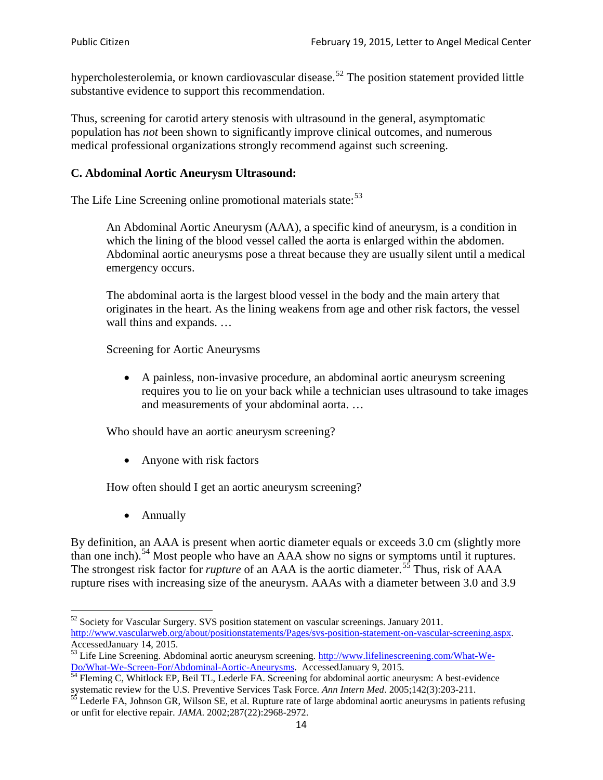hypercholesterolemia, or known cardiovascular disease.<sup>[52](#page-13-0)</sup> The position statement provided little substantive evidence to support this recommendation.

Thus, screening for carotid artery stenosis with ultrasound in the general, asymptomatic population has *not* been shown to significantly improve clinical outcomes, and numerous medical professional organizations strongly recommend against such screening.

### **C. Abdominal Aortic Aneurysm Ultrasound:**

The Life Line Screening online promotional materials state:<sup>[53](#page-13-1)</sup>

An Abdominal Aortic Aneurysm (AAA), a specific kind of aneurysm, is a condition in which the lining of the blood vessel called the aorta is enlarged within the abdomen. Abdominal aortic aneurysms pose a threat because they are usually silent until a medical emergency occurs.

The abdominal aorta is the largest blood vessel in the body and the main artery that originates in the heart. As the lining weakens from age and other risk factors, the vessel wall thins and expands. …

Screening for Aortic Aneurysms

• A painless, non-invasive procedure, an abdominal aortic aneurysm screening requires you to lie on your back while a technician uses ultrasound to take images and measurements of your abdominal aorta. …

Who should have an aortic aneurysm screening?

• Anyone with risk factors

How often should I get an aortic aneurysm screening?

• Annually

By definition, an AAA is present when aortic diameter equals or exceeds 3.0 cm (slightly more than one inch).<sup>[54](#page-13-2)</sup> Most people who have an AAA show no signs or symptoms until it ruptures. The strongest risk factor for *rupture* of an AAA is the aortic diameter.<sup>[55](#page-13-3)</sup> Thus, risk of AAA rupture rises with increasing size of the aneurysm. AAAs with a diameter between 3.0 and 3.9

<span id="page-13-0"></span> $52$  Society for Vascular Surgery. SVS position statement on vascular screenings. January 2011. http://www.vascularweb.org/about/positionstatements/Pages/svs-position-statement-on-vascular-screening.aspx.<br>Accessed January 14, 2015.

<span id="page-13-1"></span>Accessed January 14, 2015.<br>
Sa Life Line Screening. Abdominal aortic aneurysm screening. http://www.lifelinescreening.com/What-We-<br>
Do/What-We-Screen-For/Abdominal-Aortic-Aneurysms. Accessed January 9, 2015.

<span id="page-13-2"></span> $\frac{1}{54}$  Fleming C, Whitlock EP, Beil TL, Lederle FA. Screening for abdominal aortic aneurysm: A best-evidence systematic review for the U.S. Preventive Services Task Force. *Ann Intern Med.* 2005;142(3):203-211.<br><sup>55</sup> Lederle FA, Johnson GR, Wilson SE, et al. Rupture rate of large abdominal aortic aneurysms in patients refusing

<span id="page-13-3"></span>or unfit for elective repair. *JAMA*. 2002;287(22):2968-2972.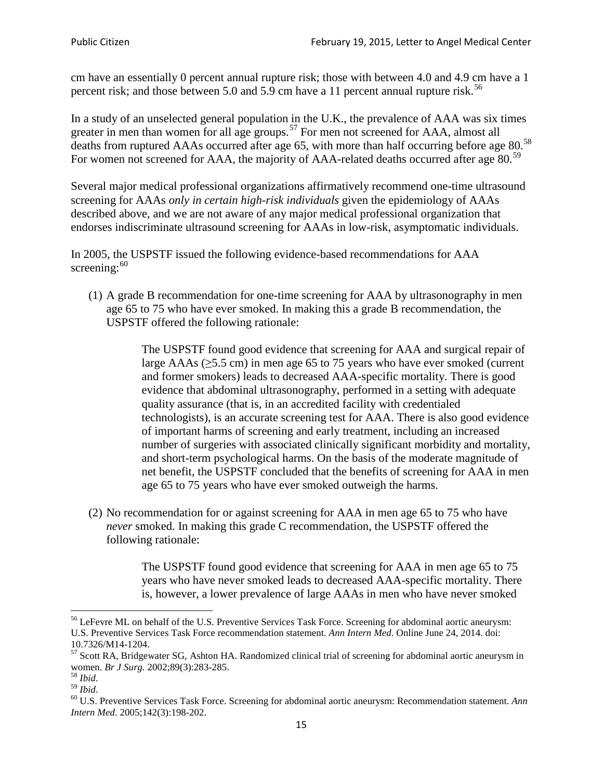cm have an essentially 0 percent annual rupture risk; those with between 4.0 and 4.9 cm have a 1 percent risk; and those between 5.0 and 5.9 cm have a 11 percent annual rupture risk.<sup>[56](#page-14-0)</sup>

In a study of an unselected general population in the U.K., the prevalence of AAA was six times greater in men than women for all age groups.<sup>[57](#page-14-1)</sup> For men not screened for  $AAA$ , almost all deaths from ruptured AAAs occurred after age 65, with more than half occurring before age 80.<sup>[58](#page-14-2)</sup> For women not screened for AAA, the majority of AAA-related deaths occurred after age 80.<sup>[59](#page-14-3)</sup>

Several major medical professional organizations affirmatively recommend one-time ultrasound screening for AAAs *only in certain high-risk individuals* given the epidemiology of AAAs described above, and we are not aware of any major medical professional organization that endorses indiscriminate ultrasound screening for AAAs in low-risk, asymptomatic individuals.

In 2005, the USPSTF issued the following evidence-based recommendations for AAA screening:  $60$ 

(1) A grade B recommendation for one-time screening for AAA by ultrasonography in men age 65 to 75 who have ever smoked. In making this a grade [B recommendation,](http://www.uspreventiveservicestaskforce.org/uspstf/gradespre.htm#brec) the USPSTF offered the following rationale:

> The USPSTF found good evidence that screening for AAA and surgical repair of large AAAs ( $\geq$ 5.5 cm) in men age 65 to 75 years who have ever smoked (current and former smokers) leads to decreased AAA-specific mortality. There is good evidence that abdominal ultrasonography, performed in a setting with adequate quality assurance (that is, in an accredited facility with credentialed technologists), is an accurate screening test for AAA. There is also good evidence of important harms of screening and early treatment, including an increased number of surgeries with associated clinically significant morbidity and mortality, and short-term psychological harms. On the basis of the moderate magnitude of net benefit, the USPSTF concluded that the benefits of screening for AAA in men age 65 to 75 years who have ever smoked outweigh the harms.

(2) No recommendation for or against screening for AAA in men age 65 to 75 who have *never* smoked. In making this grade C recommendation, the USPSTF offered the following rationale:

> The USPSTF found good evidence that screening for AAA in men age 65 to 75 years who have never smoked leads to decreased AAA-specific mortality. There is, however, a lower prevalence of large AAAs in men who have never smoked

<span id="page-14-0"></span><sup>&</sup>lt;sup>56</sup> LeFevre ML on behalf of the U.S. Preventive Services Task Force. Screening for abdominal aortic aneurysm: U.S. Preventive Services Task Force recommendation statement. *Ann Intern Med*. Online June 24, 2014. doi:

<span id="page-14-1"></span><sup>10.7326/</sup>M14-1204.<br> $57$  Scott RA, Bridgewater SG, Ashton HA. Randomized clinical trial of screening for abdominal aortic aneurysm in women. *Br J Surg.* 2002;89(3):283-285.

<span id="page-14-4"></span><span id="page-14-3"></span>

<span id="page-14-2"></span><sup>&</sup>lt;sup>58</sup> *Ibid.*<br><sup>59</sup> *Ibid.* 2002;<br><sup>60</sup> U.S. Preventive Services Task Force. Screening for abdominal aortic aneurysm: Recommendation statement. *Ann Intern Med*. 2005;142(3):198-202.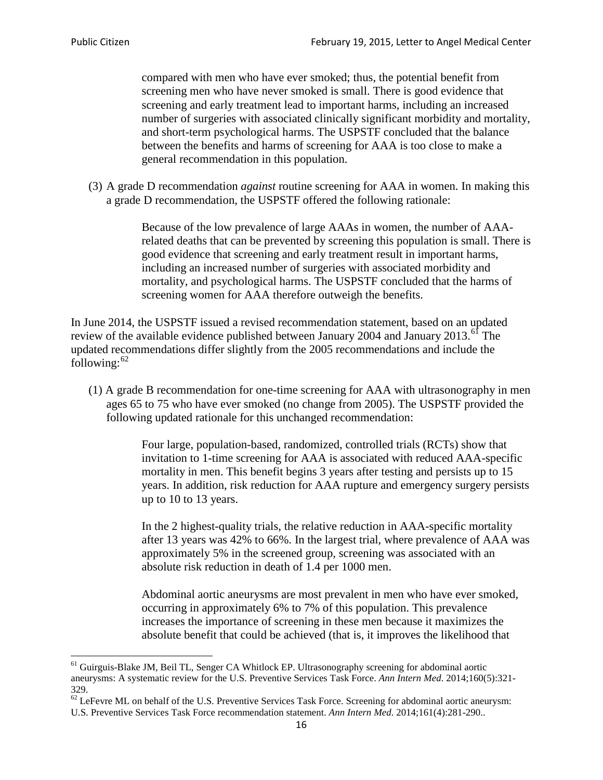compared with men who have ever smoked; thus, the potential benefit from screening men who have never smoked is small. There is good evidence that screening and early treatment lead to important harms, including an increased number of surgeries with associated clinically significant morbidity and mortality, and short-term psychological harms. The USPSTF concluded that the balance between the benefits and harms of screening for AAA is too close to make a general recommendation in this population.

(3) A grade D recommendation *against* routine screening for AAA in women. In making this a grade D recommendation, the USPSTF offered the following rationale:

> Because of the low prevalence of large AAAs in women, the number of AAArelated deaths that can be prevented by screening this population is small. There is good evidence that screening and early treatment result in important harms, including an increased number of surgeries with associated morbidity and mortality, and psychological harms. The USPSTF concluded that the harms of screening women for AAA therefore outweigh the benefits.

In June 2014, the USPSTF issued a revised recommendation statement, based on an updated review of the available evidence published between January 2004 and January 2013.<sup>[61](#page-15-0)</sup> The updated recommendations differ slightly from the 2005 recommendations and include the following: $62$ 

(1) A grade B recommendation for one-time screening for AAA with ultrasonography in men ages 65 to 75 who have ever smoked (no change from 2005). The USPSTF provided the following updated rationale for this unchanged recommendation:

> Four large, population-based, randomized, controlled trials (RCTs) show that invitation to 1-time screening for AAA is associated with reduced AAA-specific mortality in men. This benefit begins 3 years after testing and persists up to 15 years. In addition, risk reduction for AAA rupture and emergency surgery persists up to 10 to 13 years.

> In the 2 highest-quality trials, the relative reduction in AAA-specific mortality after 13 years was 42% to 66%. In the largest trial, where prevalence of AAA was approximately 5% in the screened group, screening was associated with an absolute risk reduction in death of 1.4 per 1000 men.

Abdominal aortic aneurysms are most prevalent in men who have ever smoked, occurring in approximately 6% to 7% of this population. This prevalence increases the importance of screening in these men because it maximizes the absolute benefit that could be achieved (that is, it improves the likelihood that

<span id="page-15-0"></span><sup>61</sup> Guirguis-Blake JM, Beil TL, Senger CA Whitlock EP. Ultrasonography screening for abdominal aortic aneurysms: A systematic review for the U.S. Preventive Services Task Force. *Ann Intern Med*. 2014;160(5):321- 329.

<span id="page-15-1"></span> $62$  LeFevre ML on behalf of the U.S. Preventive Services Task Force. Screening for abdominal aortic aneurysm: U.S. Preventive Services Task Force recommendation statement. *Ann Intern Med*. 2014;161(4):281-290..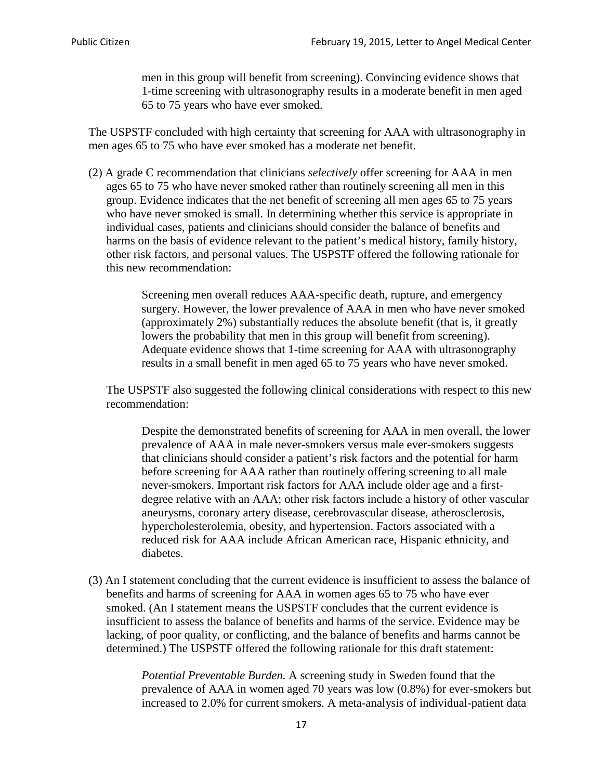men in this group will benefit from screening). Convincing evidence shows that 1-time screening with ultrasonography results in a moderate benefit in men aged 65 to 75 years who have ever smoked.

The USPSTF concluded with high certainty that screening for AAA with ultrasonography in men ages 65 to 75 who have ever smoked has a moderate net benefit.

(2) A grade C recommendation that clinicians *selectively* offer screening for AAA in men ages 65 to 75 who have never smoked rather than routinely screening all men in this group. Evidence indicates that the net benefit of screening all men ages 65 to 75 years who have never smoked is small. In determining whether this service is appropriate in individual cases, patients and clinicians should consider the balance of benefits and harms on the basis of evidence relevant to the patient's medical history, family history, other risk factors, and personal values. The USPSTF offered the following rationale for this new recommendation:

> Screening men overall reduces AAA-specific death, rupture, and emergency surgery. However, the lower prevalence of AAA in men who have never smoked (approximately 2%) substantially reduces the absolute benefit (that is, it greatly lowers the probability that men in this group will benefit from screening). Adequate evidence shows that 1-time screening for AAA with ultrasonography results in a small benefit in men aged 65 to 75 years who have never smoked.

The USPSTF also suggested the following clinical considerations with respect to this new recommendation:

Despite the demonstrated benefits of screening for AAA in men overall, the lower prevalence of AAA in male never-smokers versus male ever-smokers suggests that clinicians should consider a patient's risk factors and the potential for harm before screening for AAA rather than routinely offering screening to all male never-smokers. Important risk factors for AAA include older age and a firstdegree relative with an AAA; other risk factors include a history of other vascular aneurysms, coronary artery disease, cerebrovascular disease, atherosclerosis, hypercholesterolemia, obesity, and hypertension. Factors associated with a reduced risk for AAA include African American race, Hispanic ethnicity, and diabetes.

(3) An I statement concluding that the current evidence is insufficient to assess the balance of benefits and harms of screening for AAA in women ages 65 to 75 who have ever smoked. (An I statement means the USPSTF concludes that the current evidence is insufficient to assess the balance of benefits and harms of the service. Evidence may be lacking, of poor quality, or conflicting, and the balance of benefits and harms cannot be determined.) The USPSTF offered the following rationale for this draft statement:

> *Potential Preventable Burden.* A screening study in Sweden found that the prevalence of AAA in women aged 70 years was low (0.8%) for ever-smokers but increased to 2.0% for current smokers. A meta-analysis of individual-patient data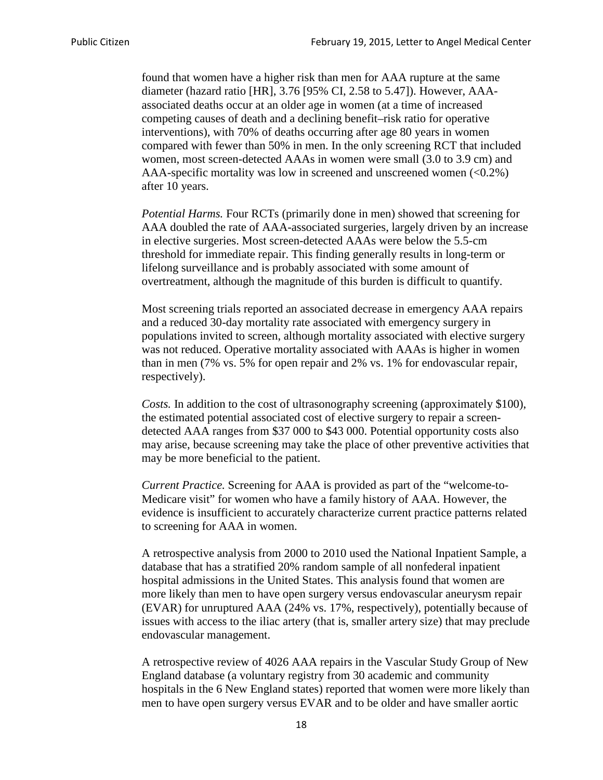found that women have a higher risk than men for AAA rupture at the same diameter (hazard ratio [HR], 3.76 [95% CI, 2.58 to 5.47]). However, AAAassociated deaths occur at an older age in women (at a time of increased competing causes of death and a declining benefit–risk ratio for operative interventions), with 70% of deaths occurring after age 80 years in women compared with fewer than 50% in men. In the only screening RCT that included women, most screen-detected AAAs in women were small (3.0 to 3.9 cm) and AAA-specific mortality was low in screened and unscreened women  $(<0.2\%)$ after 10 years.

*Potential Harms.* Four RCTs (primarily done in men) showed that screening for AAA doubled the rate of AAA-associated surgeries, largely driven by an increase in elective surgeries. Most screen-detected AAAs were below the 5.5-cm threshold for immediate repair. This finding generally results in long-term or lifelong surveillance and is probably associated with some amount of overtreatment, although the magnitude of this burden is difficult to quantify.

Most screening trials reported an associated decrease in emergency AAA repairs and a reduced 30-day mortality rate associated with emergency surgery in populations invited to screen, although mortality associated with elective surgery was not reduced. Operative mortality associated with AAAs is higher in women than in men (7% vs. 5% for open repair and 2% vs. 1% for endovascular repair, respectively).

*Costs.* In addition to the cost of ultrasonography screening (approximately \$100), the estimated potential associated cost of elective surgery to repair a screendetected AAA ranges from \$37 000 to \$43 000. Potential opportunity costs also may arise, because screening may take the place of other preventive activities that may be more beneficial to the patient.

*Current Practice.* Screening for AAA is provided as part of the "welcome-to-Medicare visit" for women who have a family history of AAA. However, the evidence is insufficient to accurately characterize current practice patterns related to screening for AAA in women.

A retrospective analysis from 2000 to 2010 used the National Inpatient Sample, a database that has a stratified 20% random sample of all nonfederal inpatient hospital admissions in the United States. This analysis found that women are more likely than men to have open surgery versus endovascular aneurysm repair (EVAR) for unruptured AAA (24% vs. 17%, respectively), potentially because of issues with access to the iliac artery (that is, smaller artery size) that may preclude endovascular management.

A retrospective review of 4026 AAA repairs in the Vascular Study Group of New England database (a voluntary registry from 30 academic and community hospitals in the 6 New England states) reported that women were more likely than men to have open surgery versus EVAR and to be older and have smaller aortic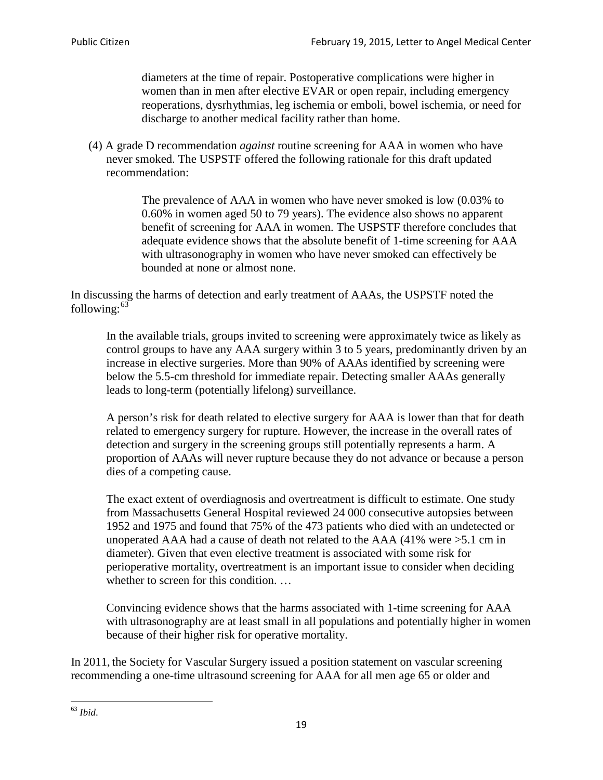diameters at the time of repair. Postoperative complications were higher in women than in men after elective EVAR or open repair, including emergency reoperations, dysrhythmias, leg ischemia or emboli, bowel ischemia, or need for discharge to another medical facility rather than home.

(4) A grade D recommendation *against* routine screening for AAA in women who have never smoked. The USPSTF offered the following rationale for this draft updated recommendation:

> The prevalence of AAA in women who have never smoked is low (0.03% to 0.60% in women aged 50 to 79 years). The evidence also shows no apparent benefit of screening for AAA in women. The USPSTF therefore concludes that adequate evidence shows that the absolute benefit of 1-time screening for AAA with ultrasonography in women who have never smoked can effectively be bounded at none or almost none.

In discussing the harms of detection and early treatment of AAAs, the USPSTF noted the following: $63$ 

In the available trials, groups invited to screening were approximately twice as likely as control groups to have any AAA surgery within 3 to 5 years, predominantly driven by an increase in elective surgeries. More than 90% of AAAs identified by screening were below the 5.5-cm threshold for immediate repair. Detecting smaller AAAs generally leads to long-term (potentially lifelong) surveillance.

A person's risk for death related to elective surgery for AAA is lower than that for death related to emergency surgery for rupture. However, the increase in the overall rates of detection and surgery in the screening groups still potentially represents a harm. A proportion of AAAs will never rupture because they do not advance or because a person dies of a competing cause.

The exact extent of overdiagnosis and overtreatment is difficult to estimate. One study from Massachusetts General Hospital reviewed 24 000 consecutive autopsies between 1952 and 1975 and found that 75% of the 473 patients who died with an undetected or unoperated AAA had a cause of death not related to the AAA (41% were >5.1 cm in diameter). Given that even elective treatment is associated with some risk for perioperative mortality, overtreatment is an important issue to consider when deciding whether to screen for this condition....

Convincing evidence shows that the harms associated with 1-time screening for AAA with ultrasonography are at least small in all populations and potentially higher in women because of their higher risk for operative mortality.

In 2011, the Society for Vascular Surgery issued a position statement on vascular screening recommending a one-time ultrasound screening for AAA for all men age 65 or older and

<span id="page-18-0"></span><sup>63</sup> *Ibid*.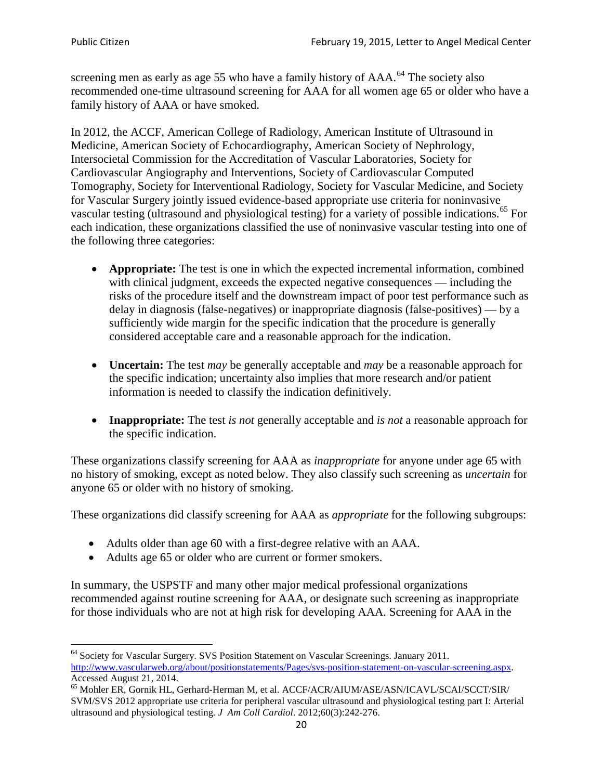screening men as early as age 55 who have a family history of AAA.<sup>[64](#page-19-0)</sup> The society also recommended one-time ultrasound screening for AAA for all women age 65 or older who have a family history of AAA or have smoked.

In 2012, the ACCF, American College of Radiology, American Institute of Ultrasound in Medicine, American Society of Echocardiography, American Society of Nephrology, Intersocietal Commission for the Accreditation of Vascular Laboratories, Society for Cardiovascular Angiography and Interventions, Society of Cardiovascular Computed Tomography, Society for Interventional Radiology, Society for Vascular Medicine, and Society for Vascular Surgery jointly issued evidence-based appropriate use criteria for noninvasive vascular testing (ultrasound and physiological testing) for a variety of possible indications.<sup>[65](#page-19-1)</sup> For each indication, these organizations classified the use of noninvasive vascular testing into one of the following three categories:

- **Appropriate:** The test is one in which the expected incremental information, combined with clinical judgment, exceeds the expected negative consequences — including the risks of the procedure itself and the downstream impact of poor test performance such as delay in diagnosis (false-negatives) or inappropriate diagnosis (false-positives) — by a sufficiently wide margin for the specific indication that the procedure is generally considered acceptable care and a reasonable approach for the indication.
- **Uncertain:** The test *may* be generally acceptable and *may* be a reasonable approach for the specific indication; uncertainty also implies that more research and/or patient information is needed to classify the indication definitively.
- **Inappropriate:** The test *is not* generally acceptable and *is not* a reasonable approach for the specific indication.

These organizations classify screening for AAA as *inappropriate* for anyone under age 65 with no history of smoking, except as noted below. They also classify such screening as *uncertain* for anyone 65 or older with no history of smoking.

These organizations did classify screening for AAA as *appropriate* for the following subgroups:

- Adults older than age 60 with a first-degree relative with an AAA.
- Adults age 65 or older who are current or former smokers.

In summary, the USPSTF and many other major medical professional organizations recommended against routine screening for AAA, or designate such screening as inappropriate for those individuals who are not at high risk for developing AAA. Screening for AAA in the

<span id="page-19-0"></span><sup>64</sup> Society for Vascular Surgery. SVS Position Statement on Vascular Screenings. January 2011. [http://www.vascularweb.org/about/positionstatements/Pages/svs-position-statement-on-vascular-screening.aspx.](http://www.vascularweb.org/about/positionstatements/Pages/svs-position-statement-on-vascular-screening.aspx) 

<span id="page-19-1"></span>Accessed August 21, 2014.<br><sup>65</sup> Mohler ER, Gornik HL, Gerhard-Herman M, et al. ACCF/ACR/AIUM/ASE/ASN/ICAVL/SCAI/SCCT/SIR/ SVM/SVS 2012 appropriate use criteria for peripheral vascular ultrasound and physiological testing part I: Arterial ultrasound and physiological testing*. J Am Coll Cardiol*. 2012;60(3):242-276.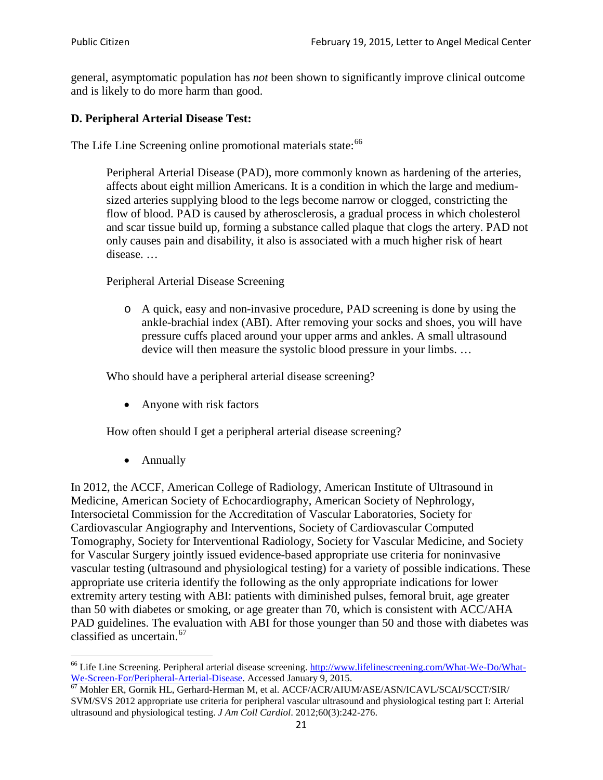general, asymptomatic population has *not* been shown to significantly improve clinical outcome and is likely to do more harm than good.

## **D. Peripheral Arterial Disease Test:**

The Life Line Screening online promotional materials state:<sup>[66](#page-20-0)</sup>

Peripheral Arterial Disease (PAD), more commonly known as hardening of the arteries, affects about eight million Americans. It is a condition in which the large and mediumsized arteries supplying blood to the legs become narrow or clogged, constricting the flow of blood. PAD is caused by atherosclerosis, a gradual process in which cholesterol and scar tissue build up, forming a substance called plaque that clogs the artery. PAD not only causes pain and disability, it also is associated with a much higher risk of heart disease. …

Peripheral Arterial Disease Screening

o A quick, easy and non-invasive procedure, PAD screening is done by using the ankle-brachial index (ABI). After removing your socks and shoes, you will have pressure cuffs placed around your upper arms and ankles. A small ultrasound device will then measure the systolic blood pressure in your limbs. …

Who should have a peripheral arterial disease screening?

• Anyone with risk factors

How often should I get a peripheral arterial disease screening?

• Annually

In 2012, the ACCF, American College of Radiology, American Institute of Ultrasound in Medicine, American Society of Echocardiography, American Society of Nephrology, Intersocietal Commission for the Accreditation of Vascular Laboratories, Society for Cardiovascular Angiography and Interventions, Society of Cardiovascular Computed Tomography, Society for Interventional Radiology, Society for Vascular Medicine, and Society for Vascular Surgery jointly issued evidence-based appropriate use criteria for noninvasive vascular testing (ultrasound and physiological testing) for a variety of possible indications. These appropriate use criteria identify the following as the only appropriate indications for lower extremity artery testing with ABI: patients with diminished pulses, femoral bruit, age greater than 50 with diabetes or smoking, or age greater than 70, which is consistent with ACC/AHA PAD guidelines. The evaluation with ABI for those younger than 50 and those with diabetes was classified as uncertain.<sup>[67](#page-20-1)</sup>

<span id="page-20-0"></span><sup>&</sup>lt;sup>66</sup> Life Line Screening. Peripheral arterial disease screening. [http://www.lifelinescreening.com/What-We-Do/What-](http://www.lifelinescreening.com/What-We-Do/What-We-Screen-For/Peripheral-Arterial-Disease)[We-Screen-For/Peripheral-Arterial-Disease.](http://www.lifelinescreening.com/What-We-Do/What-We-Screen-For/Peripheral-Arterial-Disease) Accessed January 9, 2015.<br><sup>67</sup> Mohler ER, Gornik HL, Gerhard-Herman M, et al. ACCF/ACR/AIUM/ASE/ASN/ICAVL/SCAI/SCCT/SIR/

<span id="page-20-1"></span>SVM/SVS 2012 appropriate use criteria for peripheral vascular ultrasound and physiological testing part I: Arterial ultrasound and physiological testing. *J Am Coll Cardiol*. 2012;60(3):242-276.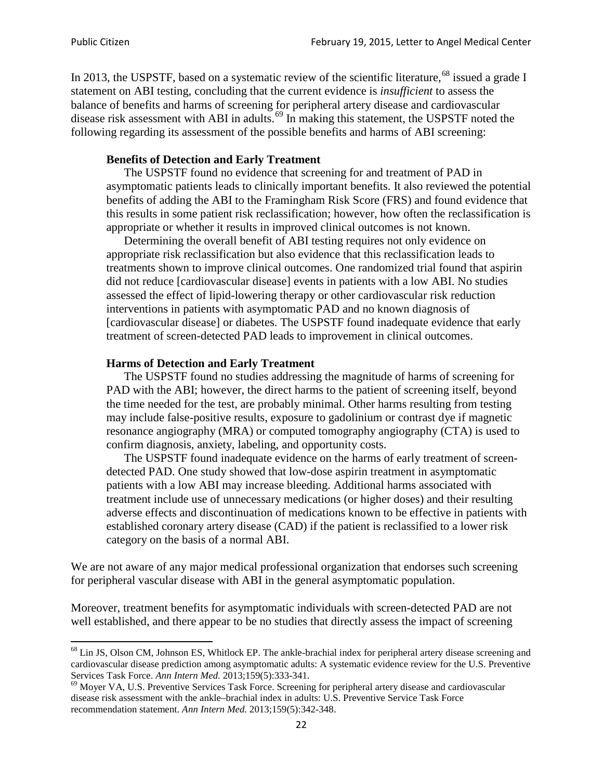In 2013, the USPSTF, based on a systematic review of the scientific literature,<sup>[68](#page-21-0)</sup> issued a grade I statement on ABI testing, concluding that the current evidence is *insufficient* to assess the balance of benefits and harms of screening for peripheral artery disease and cardiovascular disease risk assessment with ABI in adults.<sup>[69](#page-21-1)</sup> In making this statement, the USPSTF noted the following regarding its assessment of the possible benefits and harms of ABI screening:

### **Benefits of Detection and Early Treatment**

The USPSTF found no evidence that screening for and treatment of PAD in asymptomatic patients leads to clinically important benefits. It also reviewed the potential benefits of adding the ABI to the Framingham Risk Score (FRS) and found evidence that this results in some patient risk reclassification; however, how often the reclassification is appropriate or whether it results in improved clinical outcomes is not known.

Determining the overall benefit of ABI testing requires not only evidence on appropriate risk reclassification but also evidence that this reclassification leads to treatments shown to improve clinical outcomes. One randomized trial found that aspirin did not reduce [cardiovascular disease] events in patients with a low ABI. No studies assessed the effect of lipid-lowering therapy or other cardiovascular risk reduction interventions in patients with asymptomatic PAD and no known diagnosis of [cardiovascular disease] or diabetes. The USPSTF found inadequate evidence that early treatment of screen-detected PAD leads to improvement in clinical outcomes.

### **Harms of Detection and Early Treatment**

The USPSTF found no studies addressing the magnitude of harms of screening for PAD with the ABI; however, the direct harms to the patient of screening itself, beyond the time needed for the test, are probably minimal. Other harms resulting from testing may include false-positive results, exposure to gadolinium or contrast dye if magnetic resonance angiography (MRA) or computed tomography angiography (CTA) is used to confirm diagnosis, anxiety, labeling, and opportunity costs.

The USPSTF found inadequate evidence on the harms of early treatment of screendetected PAD. One study showed that low-dose aspirin treatment in asymptomatic patients with a low ABI may increase bleeding. Additional harms associated with treatment include use of unnecessary medications (or higher doses) and their resulting adverse effects and discontinuation of medications known to be effective in patients with established coronary artery disease (CAD) if the patient is reclassified to a lower risk category on the basis of a normal ABI.

We are not aware of any major medical professional organization that endorses such screening for peripheral vascular disease with ABI in the general asymptomatic population.

Moreover, treatment benefits for asymptomatic individuals with screen-detected PAD are not well established, and there appear to be no studies that directly assess the impact of screening

<span id="page-21-0"></span><sup>&</sup>lt;sup>68</sup> Lin JS, Olson CM, Johnson ES, Whitlock EP. The ankle-brachial index for peripheral artery disease screening and cardiovascular disease prediction among asymptomatic adults: A systematic evidence review for the U.S. Preventive Services Task Force. *Ann Intern Med.* 2013;159(5):333-341.<br><sup>69</sup> Moyer VA, U.S. Preventive Services Task Force. Screening for peripheral artery disease and cardiovascular

<span id="page-21-1"></span>disease risk assessment with the ankle–brachial index in adults: U.S. Preventive Service Task Force recommendation statement. *Ann Intern Med.* 2013;159(5):342-348.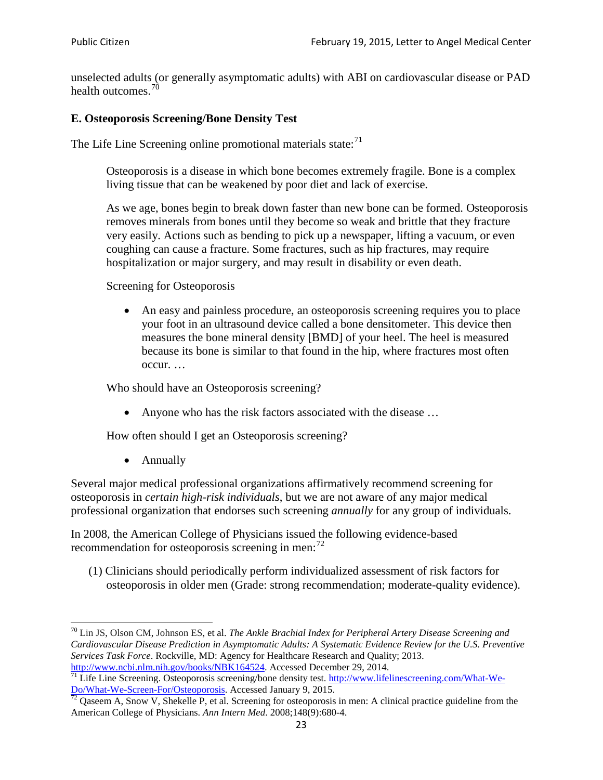unselected adults (or generally asymptomatic adults) with ABI on cardiovascular disease or PAD health outcomes.<sup>[70](#page-22-0)</sup>

## **E. Osteoporosis Screening/Bone Density Test**

The Life Line Screening online promotional materials state: $71$ 

Osteoporosis is a disease in which bone becomes extremely fragile. Bone is a complex living tissue that can be weakened by poor diet and lack of exercise.

As we age, bones begin to break down faster than new bone can be formed. Osteoporosis removes minerals from bones until they become so weak and brittle that they fracture very easily. Actions such as bending to pick up a newspaper, lifting a vacuum, or even coughing can cause a fracture. Some fractures, such as hip fractures, may require hospitalization or major surgery, and may result in disability or even death.

Screening for Osteoporosis

• An easy and painless procedure, an osteoporosis screening requires you to place your foot in an ultrasound device called a bone densitometer. This device then measures the bone mineral density [BMD] of your heel. The heel is measured because its bone is similar to that found in the hip, where fractures most often occur. …

Who should have an Osteoporosis screening?

• Anyone who has the risk factors associated with the disease ...

How often should I get an Osteoporosis screening?

• Annually

Several major medical professional organizations affirmatively recommend screening for osteoporosis in *certain high-risk individuals*, but we are not aware of any major medical professional organization that endorses such screening *annually* for any group of individuals.

In 2008, the American College of Physicians issued the following evidence-based recommendation for osteoporosis screening in men: $^{72}$  $^{72}$  $^{72}$ 

(1) Clinicians should periodically perform individualized assessment of risk factors for osteoporosis in older men (Grade: strong recommendation; moderate-quality evidence).

<span id="page-22-0"></span><sup>70</sup> [Lin JS,](http://www.ncbi.nlm.nih.gov/pubmed?term=Lin%20JS%5BAuthor%5D&cauthor=true&cauthor_uid=24156115) [Olson CM,](http://www.ncbi.nlm.nih.gov/pubmed?term=Olson%20CM%5BAuthor%5D&cauthor=true&cauthor_uid=24156115) [Johnson ES,](http://www.ncbi.nlm.nih.gov/pubmed?term=Johnson%20ES%5BAuthor%5D&cauthor=true&cauthor_uid=24156115) et al. *The Ankle Brachial Index for Peripheral Artery Disease Screening and Cardiovascular Disease Prediction in Asymptomatic Adults: A Systematic Evidence Review for the U.S. Preventive Services Task Force*. Rockville, MD: Agency for Healthcare Research and Quality; 2013.<br>http://www.ncbi.nlm.nih.gov/books/NBK164524. Accessed December 29, 2014.

<span id="page-22-1"></span> $\frac{1}{71}$  Life Line Screening. Osteoporosis screening/bone density test. [http://www.lifelinescreening.com/What-We-](http://www.lifelinescreening.com/What-We-Do/What-We-Screen-For/Osteoporosis) $\frac{Do/What-We-Screen-For/Osteoporosis}{72}$  Qaseem A, Snow V, Shekelle P, et al. Screening for osteoporosis in men: A clinical practice guideline from the

<span id="page-22-2"></span>American College of Physicians. *Ann Intern Med*. 2008;148(9):680-4.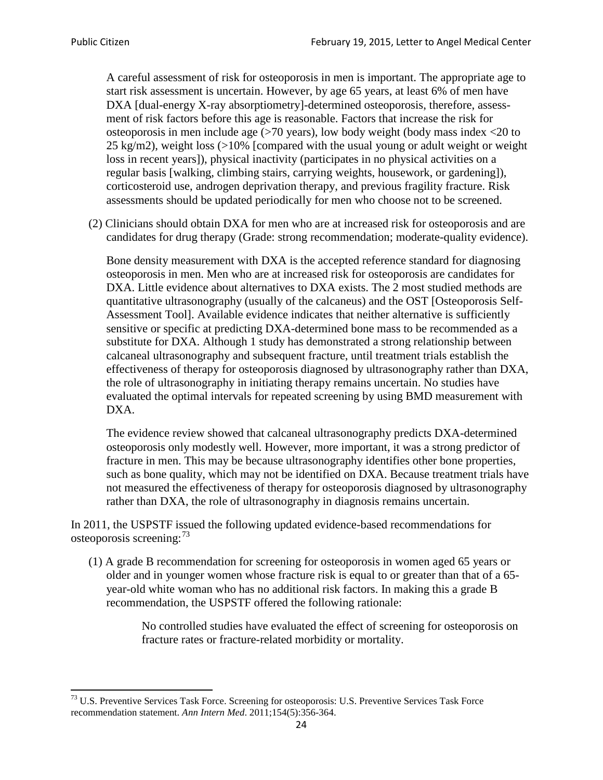A careful assessment of risk for osteoporosis in men is important. The appropriate age to start risk assessment is uncertain. However, by age 65 years, at least 6% of men have DXA [dual-energy X-ray absorptiometry]-determined osteoporosis, therefore, assessment of risk factors before this age is reasonable. Factors that increase the risk for osteoporosis in men include age (>70 years), low body weight (body mass index <20 to 25 kg/m2), weight loss (>10% [compared with the usual young or adult weight or weight loss in recent years]), physical inactivity (participates in no physical activities on a regular basis [walking, climbing stairs, carrying weights, housework, or gardening]), corticosteroid use, androgen deprivation therapy, and previous fragility fracture. Risk assessments should be updated periodically for men who choose not to be screened.

(2) Clinicians should obtain DXA for men who are at increased risk for osteoporosis and are candidates for drug therapy (Grade: strong recommendation; moderate-quality evidence).

Bone density measurement with DXA is the accepted reference standard for diagnosing osteoporosis in men. Men who are at increased risk for osteoporosis are candidates for DXA. Little evidence about alternatives to DXA exists. The 2 most studied methods are quantitative ultrasonography (usually of the calcaneus) and the OST [Osteoporosis Self-Assessment Tool]. Available evidence indicates that neither alternative is sufficiently sensitive or specific at predicting DXA-determined bone mass to be recommended as a substitute for DXA. Although 1 study has demonstrated a strong relationship between calcaneal ultrasonography and subsequent fracture, until treatment trials establish the effectiveness of therapy for osteoporosis diagnosed by ultrasonography rather than DXA, the role of ultrasonography in initiating therapy remains uncertain. No studies have evaluated the optimal intervals for repeated screening by using BMD measurement with DXA.

The evidence review showed that calcaneal ultrasonography predicts DXA-determined osteoporosis only modestly well. However, more important, it was a strong predictor of fracture in men. This may be because ultrasonography identifies other bone properties, such as bone quality, which may not be identified on DXA. Because treatment trials have not measured the effectiveness of therapy for osteoporosis diagnosed by ultrasonography rather than DXA, the role of ultrasonography in diagnosis remains uncertain.

In 2011, the USPSTF issued the following updated evidence-based recommendations for osteoporosis screening:<sup>[73](#page-23-0)</sup>

(1) A grade B recommendation for screening for osteoporosis in women aged 65 years or older and in younger women whose fracture risk is equal to or greater than that of a 65 year-old white woman who has no additional risk factors. In making this a grade B recommendation, the USPSTF offered the following rationale:

> No controlled studies have evaluated the effect of screening for osteoporosis on fracture rates or fracture-related morbidity or mortality.

<span id="page-23-0"></span><sup>&</sup>lt;sup>73</sup> U.S. Preventive Services Task Force. Screening for osteoporosis: U.S. Preventive Services Task Force recommendation statement. *Ann Intern Med*. 2011;154(5):356-364.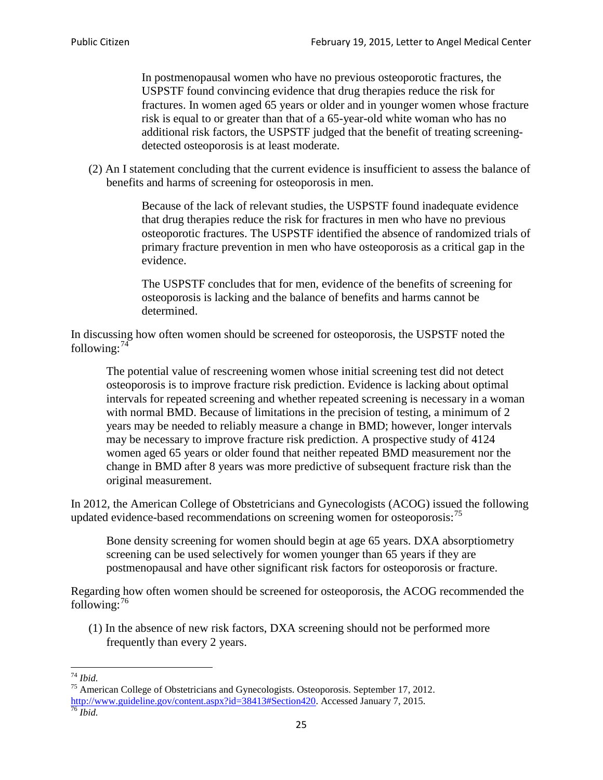In postmenopausal women who have no previous osteoporotic fractures, the USPSTF found convincing evidence that drug therapies reduce the risk for fractures. In women aged 65 years or older and in younger women whose fracture risk is equal to or greater than that of a 65-year-old white woman who has no additional risk factors, the USPSTF judged that the benefit of treating screeningdetected osteoporosis is at least moderate.

(2) An I statement concluding that the current evidence is insufficient to assess the balance of benefits and harms of screening for osteoporosis in men.

> Because of the lack of relevant studies, the USPSTF found inadequate evidence that drug therapies reduce the risk for fractures in men who have no previous osteoporotic fractures. The USPSTF identified the absence of randomized trials of primary fracture prevention in men who have osteoporosis as a critical gap in the evidence.

The USPSTF concludes that for men, evidence of the benefits of screening for osteoporosis is lacking and the balance of benefits and harms cannot be determined.

In discussing how often women should be screened for osteoporosis, the USPSTF noted the following: $74$ 

The potential value of rescreening women whose initial screening test did not detect osteoporosis is to improve fracture risk prediction. Evidence is lacking about optimal intervals for repeated screening and whether repeated screening is necessary in a woman with normal BMD. Because of limitations in the precision of testing, a minimum of 2 years may be needed to reliably measure a change in BMD; however, longer intervals may be necessary to improve fracture risk prediction. A prospective study of 4124 women aged 65 years or older found that neither repeated BMD measurement nor the change in BMD after 8 years was more predictive of subsequent fracture risk than the original measurement.

In 2012, the American College of Obstetricians and Gynecologists (ACOG) issued the following updated evidence-based recommendations on screening women for osteoporosis:<sup>[75](#page-24-1)</sup>

Bone density screening for women should begin at age 65 years. DXA absorptiometry screening can be used selectively for women younger than 65 years if they are postmenopausal and have other significant risk factors for osteoporosis or fracture.

Regarding how often women should be screened for osteoporosis, the ACOG recommended the following: $^{76}$  $^{76}$  $^{76}$ 

(1) In the absence of new risk factors, DXA screening should not be performed more frequently than every 2 years.

<span id="page-24-2"></span><span id="page-24-1"></span><span id="page-24-0"></span><sup>74</sup> *Ibid.* <sup>75</sup> American College of Obstetricians and Gynecologists. Osteoporosis. September 17, 2012. [http://www.guideline.gov/content.aspx?id=38413#Section420.](http://www.guideline.gov/content.aspx?id=38413#Section420) Accessed January 7, 2015.<br><sup>76</sup> *Ibid.*